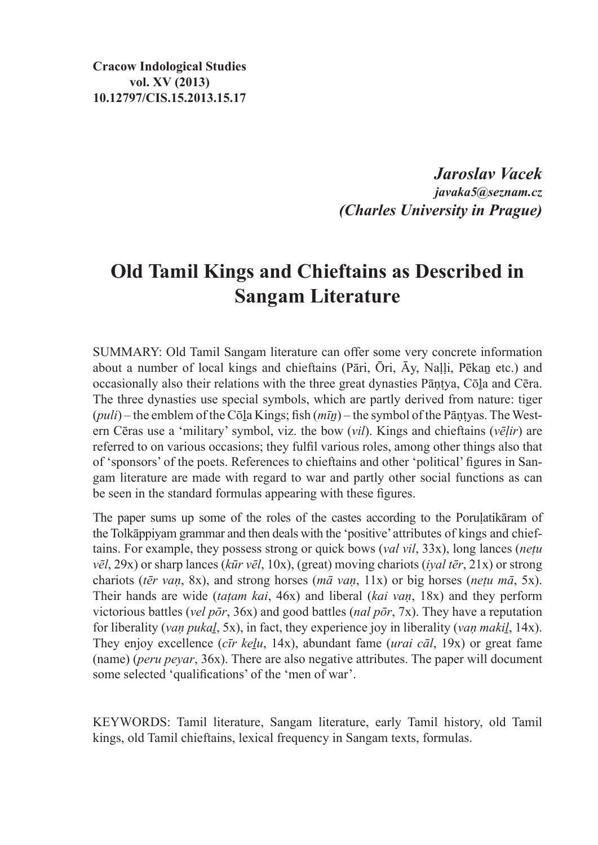**Cracow Indological Studies vol. XV (2013) 10.12797/CIS.15.2013.15.17**

> *Jaroslav Vacek javaka5@seznam.cz (Charles University in Prague)*

# **Old Tamil Kings and Chieftains as Described in Sangam Literature**

SUMMARY: Old Tamil Sangam literature can offer some very concrete information about a number of local kings and chieftains (Pāri, Ōri, Āy, Naḷḷi, Pēkaṉ etc.) and occasionally also their relations with the three great dynasties Pāṇṭya, Cōḻa and Cēra. The three dynasties use special symbols, which are partly derived from nature: tiger (*puli*) – the emblem of the Cōḻa Kings; fish (*mīṉ*) – the symbol of the Pāṇṭyas. The Western Cēras use a 'military' symbol, viz. the bow (*vil*). Kings and chieftains (*vēḷir*) are referred to on various occasions; they fulfil various roles, among other things also that of 'sponsors' of the poets. References to chieftains and other 'political' figures in Sangam literature are made with regard to war and partly other social functions as can be seen in the standard formulas appearing with these figures.

The paper sums up some of the roles of the castes according to the Poruḷatikāram of the Tolkāppiyam grammar and then deals with the 'positive' attributes of kings and chieftains. For example, they possess strong or quick bows (*val vil*, 33x), long lances (*neṭu vēl*, 29x) or sharp lances (*kūr vēl*, 10x), (great) moving chariots (*iyal tēr*, 21x) or strong chariots (*tēr vaṇ*, 8x), and strong horses (*mā vaṇ*, 11x) or big horses (*neṭu mā*, 5x). Their hands are wide (*taṭam kai*, 46x) and liberal (*kai vaṇ*, 18x) and they perform victorious battles (*vel pōr*, 36x) and good battles (*nal pōr*, 7x). They have a reputation for liberality (*vaṇ pukaḻ*, 5x), in fact, they experience joy in liberality (*vaṇ makiḻ*, 14x). They enjoy excellence (*cīr keḻu*, 14x), abundant fame (*urai cāl*, 19x) or great fame (name) (*peru peyar*, 36x). There are also negative attributes. The paper will document some selected 'qualifications' of the 'men of war'.

KEYWORDS: Tamil literature, Sangam literature, early Tamil history, old Tamil kings, old Tamil chieftains, lexical frequency in Sangam texts, formulas.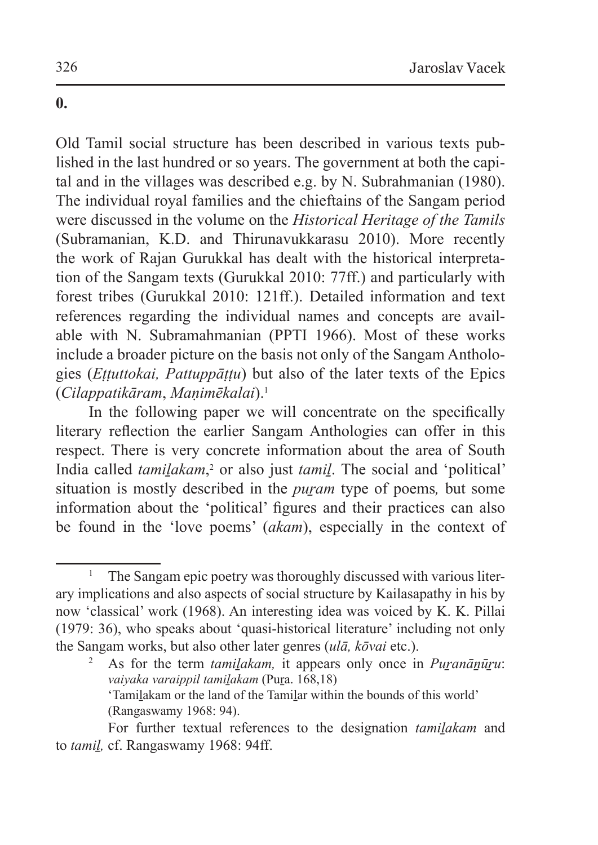## **0.**

Old Tamil social structure has been described in various texts published in the last hundred or so years. The government at both the capital and in the villages was described e.g. by N. Subrahmanian (1980). The individual royal families and the chieftains of the Sangam period were discussed in the volume on the *Historical Heritage of the Tamils* (Subramanian, K.D. and Thirunavukkarasu 2010). More recently the work of Rajan Gurukkal has dealt with the historical interpretation of the Sangam texts (Gurukkal 2010: 77ff.) and particularly with forest tribes (Gurukkal 2010: 121ff.). Detailed information and text references regarding the individual names and concepts are available with N. Subramahmanian (PPTI 1966). Most of these works include a broader picture on the basis not only of the Sangam Anthologies (*Eṭṭuttokai, Pattuppāṭṭu*) but also of the later texts of the Epics (*Cilappatikāram*, *Maṇimēkalai*).<sup>1</sup>

In the following paper we will concentrate on the specifically literary reflection the earlier Sangam Anthologies can offer in this respect. There is very concrete information about the area of South India called *tamilakam*,<sup>2</sup> or also just *tamil*. The social and 'political' situation is mostly described in the *puram* type of poems, but some information about the 'political' figures and their practices can also be found in the 'love poems' (*akam*), especially in the context of

<sup>1</sup> The Sangam epic poetry was thoroughly discussed with various literary implications and also aspects of social structure by Kailasapathy in his by now 'classical' work (1968). An interesting idea was voiced by K. K. Pillai (1979: 36), who speaks about 'quasi-historical literature' including not only the Sangam works, but also other later genres (*ulā, kōvai* etc.).

As for the term *tamilakam*, it appears only once in *Puranānūru*: *vaiyaka varaippil tamiḻakam* (Puṟa. 168,18) 'Tamiḻakam or the land of the Tamiḻar within the bounds of this world' (Rangaswamy 1968: 94).

For further textual references to the designation *tamilakam* and to *tamiḻ,* cf. Rangaswamy 1968: 94ff.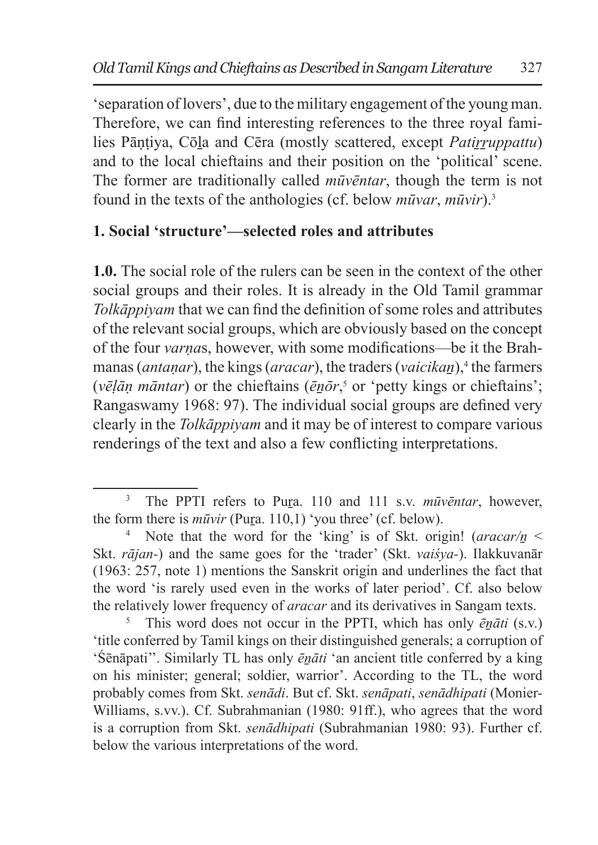'separation of lovers', due to the military engagement of the young man. Therefore, we can find interesting references to the three royal families Pāntiya, Cōla and Cēra (mostly scattered, except *Patirruppattu*) and to the local chieftains and their position on the 'political' scene. The former are traditionally called *mūvēntar*, though the term is not found in the texts of the anthologies (cf. below *mūvar*, *mūvir*).<sup>3</sup>

## **1. Social 'structure'—selected roles and attributes**

**1.0.** The social role of the rulers can be seen in the context of the other social groups and their roles. It is already in the Old Tamil grammar *Tolkāppiyam* that we can find the definition of some roles and attributes of the relevant social groups, which are obviously based on the concept of the four *varṇa*s, however, with some modifications—be it the Brahmanas (*antaṇar*), the kings (*aracar*), the traders (*vaicikan*॒),<sup>4</sup> the farmers (*vēḷāṇ māntar*) or the chieftains (*ēṉōr*, 5 or 'petty kings or chieftains'; Rangaswamy 1968: 97). The individual social groups are defined very clearly in the *Tolkāppiyam* and it may be of interest to compare various renderings of the text and also a few conflicting interpretations.

<sup>&</sup>lt;sup>3</sup> The PPTI refers to Pura. 110 and 111 s.v. *mūvēntar*, however, the form there is *mūvir* (Pura. 110,1) 'you three' (cf. below).

Note that the word for the 'king' is of Skt. origin! (*aracar/n* < Skt. *rājan-*) and the same goes for the 'trader' (Skt. *vaiśya-*). Ilakkuvanār (1963: 257, note 1) mentions the Sanskrit origin and underlines the fact that the word 'is rarely used even in the works of later period'. Cf. also below the relatively lower frequency of *aracar* and its derivatives in Sangam texts.

<sup>5</sup> This word does not occur in the PPTI, which has only *ēṉāti* (s.v.) 'title conferred by Tamil kings on their distinguished generals; a corruption of 'Śēnāpati''. Similarly TL has only *ēṉāti* 'an ancient title conferred by a king on his minister; general; soldier, warrior'. According to the TL, the word probably comes from Skt. *senādi*. But cf. Skt. *senāpati*, *senādhipati* (Monier-Williams, s.vv.). Cf. Subrahmanian (1980: 91ff.), who agrees that the word is a corruption from Skt. *senādhipati* (Subrahmanian 1980: 93). Further cf. below the various interpretations of the word.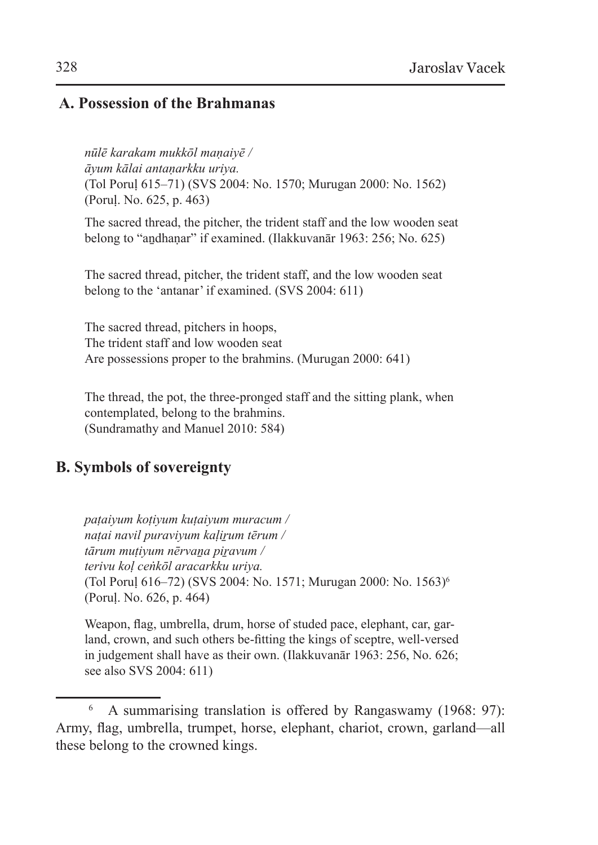#### **A. Possession of the Brahmanas**

*nūlē karakam mukkōl maṇaiyē / āyum kālai antaṇarkku uriya.* (Tol Poruḷ 615–71) (SVS 2004: No. 1570; Murugan 2000: No. 1562) (Poruḷ. No. 625, p. 463)

The sacred thread, the pitcher, the trident staff and the low wooden seat belong to "andhanar" if examined. (Ilakkuvanār 1963: 256; No. 625)

The sacred thread, pitcher, the trident staff, and the low wooden seat belong to the 'antanar' if examined. (SVS 2004: 611)

The sacred thread, pitchers in hoops, The trident staff and low wooden seat Are possessions proper to the brahmins. (Murugan 2000: 641)

The thread, the pot, the three-pronged staff and the sitting plank, when contemplated, belong to the brahmins. (Sundramathy and Manuel 2010: 584)

### **B. Symbols of sovereignty**

*paṭaiyum koṭiyum kuṭaiyum muracum / naṭai navil puraviyum kaḷiṟum tērum / tārum muṭiyum nērvaṉa piṟavum / terivu koḷ ceṅkōl aracarkku uriya.* (Tol Poruḷ 616–72) (SVS 2004: No. 1571; Murugan 2000: No. 1563)<sup>6</sup> (Poruḷ. No. 626, p. 464)

Weapon, flag, umbrella, drum, horse of studed pace, elephant, car, garland, crown, and such others be-fitting the kings of sceptre, well-versed in judgement shall have as their own. (Ilakkuvanār 1963: 256, No. 626; see also SVS 2004: 611)

<sup>6</sup> A summarising translation is offered by Rangaswamy (1968: 97): Army, flag, umbrella, trumpet, horse, elephant, chariot, crown, garland—all these belong to the crowned kings.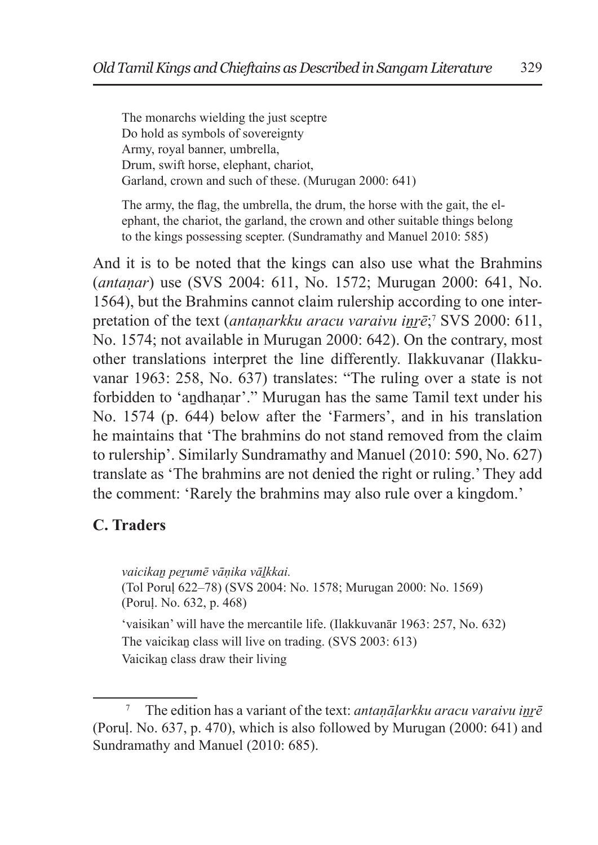The monarchs wielding the just sceptre Do hold as symbols of sovereignty Army, royal banner, umbrella, Drum, swift horse, elephant, chariot, Garland, crown and such of these. (Murugan 2000: 641)

The army, the flag, the umbrella, the drum, the horse with the gait, the elephant, the chariot, the garland, the crown and other suitable things belong to the kings possessing scepter. (Sundramathy and Manuel 2010: 585)

And it is to be noted that the kings can also use what the Brahmins (*antaṇar*) use (SVS 2004: 611, No. 1572; Murugan 2000: 641, No. 1564), but the Brahmins cannot claim rulership according to one interpretation of the text (*antaṇarkku aracu varaivu iṉṟē*; <sup>7</sup> SVS 2000: 611, No. 1574; not available in Murugan 2000: 642). On the contrary, most other translations interpret the line differently. Ilakkuvanar (Ilakkuvanar 1963: 258, No. 637) translates: "The ruling over a state is not forbidden to 'andhanar'." Murugan has the same Tamil text under his No. 1574 (p. 644) below after the 'Farmers', and in his translation he maintains that 'The brahmins do not stand removed from the claim to rulership'. Similarly Sundramathy and Manuel (2010: 590, No. 627) translate as 'The brahmins are not denied the right or ruling.' They add the comment: 'Rarely the brahmins may also rule over a kingdom.'

## **C. Traders**

*vaicikaṉ peṟumē vāṇika vāḻkkai.* (Tol Poruḷ 622–78) (SVS 2004: No. 1578; Murugan 2000: No. 1569) (Poruḷ. No. 632, p. 468) 'vaisikan' will have the mercantile life. (Ilakkuvanār 1963: 257, No. 632) The vaicikan class will live on trading. (SVS 2003: 613) Vaicikaṉ class draw their living

The edition has a variant of the text: *antanālarkku aracu varaivu inrē* (Poruḷ. No. 637, p. 470), which is also followed by Murugan (2000: 641) and Sundramathy and Manuel (2010: 685).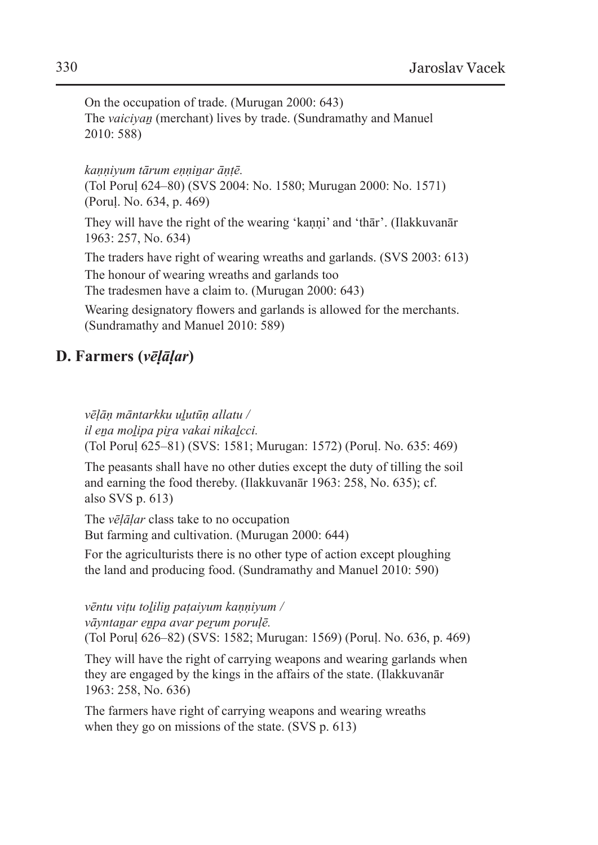On the occupation of trade. (Murugan 2000: 643) The *vaiciyan* (merchant) lives by trade. (Sundramathy and Manuel 2010: 588)

*kaṇṇiyum tārum eṇṇiṉar āṇṭē.*

(Tol Poruḷ 624–80) (SVS 2004: No. 1580; Murugan 2000: No. 1571) (Poruḷ. No. 634, p. 469)

They will have the right of the wearing 'kanni' and 'thār'. (Ilakkuvanār 1963: 257, No. 634)

The traders have right of wearing wreaths and garlands. (SVS 2003: 613) The honour of wearing wreaths and garlands too The tradesmen have a claim to. (Murugan 2000: 643)

Wearing designatory flowers and garlands is allowed for the merchants. (Sundramathy and Manuel 2010: 589)

### **D. Farmers (***vēḷāḷar***)**

*vēḷāṇ māntarkku uḻutūṇ allatu / il eṉa moḻipa piṟa vakai nikaḻcci.* (Tol Poruḷ 625–81) (SVS: 1581; Murugan: 1572) (Poruḷ. No. 635: 469)

The peasants shall have no other duties except the duty of tilling the soil and earning the food thereby. (Ilakkuvanār 1963: 258, No. 635); cf. also SVS p. 613)

The *vēḷāḷar* class take to no occupation But farming and cultivation. (Murugan 2000: 644)

For the agriculturists there is no other type of action except ploughing the land and producing food. (Sundramathy and Manuel 2010: 590)

*vēntu viṭu toḻiliṉ paṭaiyum kaṇṇiyum / vāyntaṉar eṉpa avar peṟum poruḷē.* (Tol Poruḷ 626–82) (SVS: 1582; Murugan: 1569) (Poruḷ. No. 636, p. 469)

They will have the right of carrying weapons and wearing garlands when they are engaged by the kings in the affairs of the state. (Ilakkuvanār 1963: 258, No. 636)

The farmers have right of carrying weapons and wearing wreaths when they go on missions of the state. (SVS p. 613)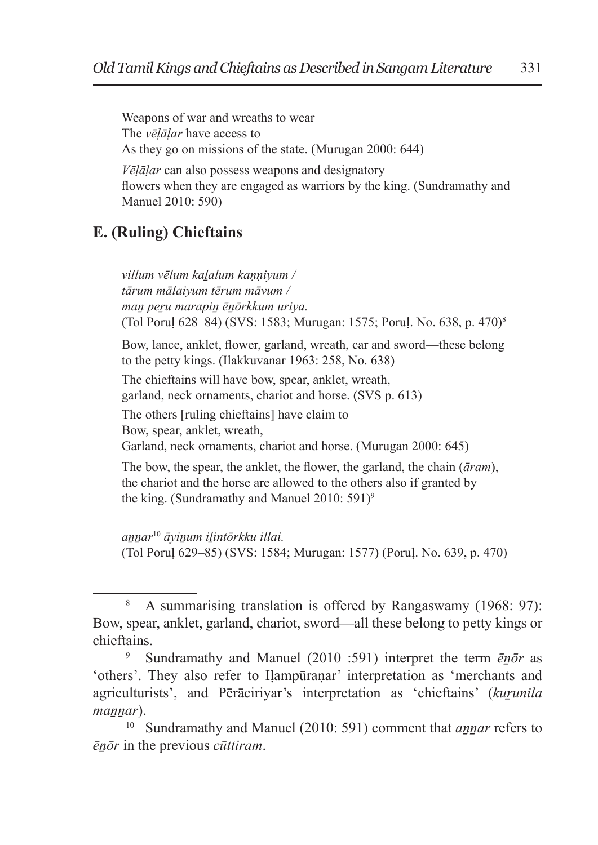Weapons of war and wreaths to wear The *vēḷāḷar* have access to As they go on missions of the state. (Murugan 2000: 644) *Vēḷāḷar* can also possess weapons and designatory

flowers when they are engaged as warriors by the king. (Sundramathy and Manuel 2010: 590)

## **E. (Ruling) Chieftains**

*villum vēlum kaḻalum kaṇṇiyum / tārum mālaiyum tērum māvum / maṉ peṟu marapiṉ ēṉōrkkum uriya.* (Tol Poruḷ 628–84) (SVS: 1583; Murugan: 1575; Poruḷ. No. 638, p. 470)<sup>8</sup>

Bow, lance, anklet, flower, garland, wreath, car and sword—these belong to the petty kings. (Ilakkuvanar 1963: 258, No. 638)

The chieftains will have bow, spear, anklet, wreath, garland, neck ornaments, chariot and horse. (SVS p. 613)

The others [ruling chieftains] have claim to

Bow, spear, anklet, wreath,

Garland, neck ornaments, chariot and horse. (Murugan 2000: 645)

The bow, the spear, the anklet, the flower, the garland, the chain (*āram*), the chariot and the horse are allowed to the others also if granted by the king. (Sundramathy and Manuel 2010: 591)<sup>9</sup>

*aṉṉar*<sup>10</sup> *āyiṉum iḻintōrkku illai.* (Tol Poruḷ 629–85) (SVS: 1584; Murugan: 1577) (Poruḷ. No. 639, p. 470)

<sup>8</sup> A summarising translation is offered by Rangaswamy (1968: 97): Bow, spear, anklet, garland, chariot, sword—all these belong to petty kings or chieftains.

<sup>&</sup>lt;sup>9</sup> Sundramathy and Manuel (2010 :591) interpret the term  $\bar{e}n\bar{o}r$  as 'others'. They also refer to Iḷampūraṇar' interpretation as 'merchants and agriculturists', and Pērāciriyar's interpretation as 'chieftains' (kurunila *mannar*).

<sup>10</sup> Sundramathy and Manuel (2010: 591) comment that *aṉṉar* refers to *ēṉōr* in the previous *cūttiram*.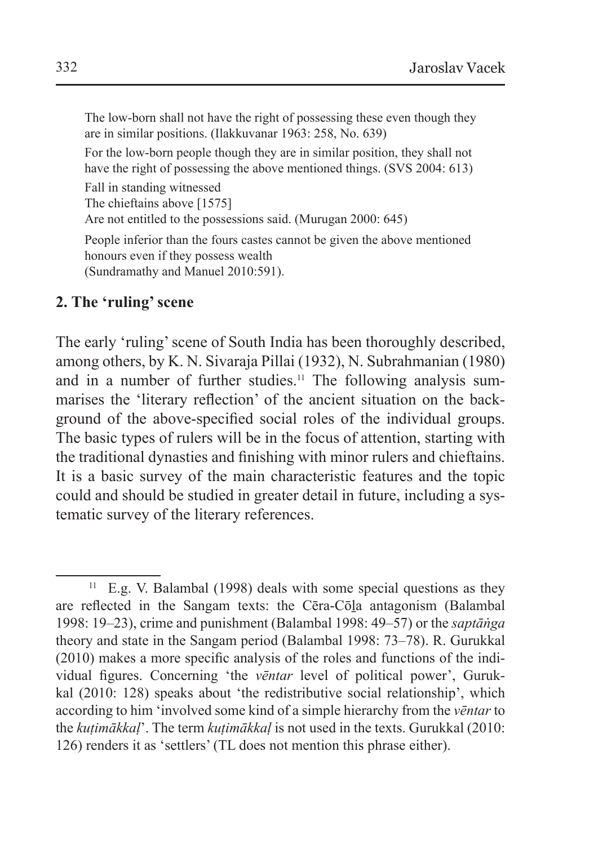The low-born shall not have the right of possessing these even though they are in similar positions. (Ilakkuvanar 1963: 258, No. 639)

For the low-born people though they are in similar position, they shall not have the right of possessing the above mentioned things. (SVS 2004: 613)

Fall in standing witnessed The chieftains above [1575] Are not entitled to the possessions said. (Murugan 2000: 645)

People inferior than the fours castes cannot be given the above mentioned honours even if they possess wealth (Sundramathy and Manuel 2010:591).

#### **2. The 'ruling' scene**

The early 'ruling' scene of South India has been thoroughly described, among others, by K. N. Sivaraja Pillai (1932), N. Subrahmanian (1980) and in a number of further studies.<sup>11</sup> The following analysis summarises the 'literary reflection' of the ancient situation on the background of the above-specified social roles of the individual groups. The basic types of rulers will be in the focus of attention, starting with the traditional dynasties and finishing with minor rulers and chieftains. It is a basic survey of the main characteristic features and the topic could and should be studied in greater detail in future, including a systematic survey of the literary references.

 $11$  E.g. V. Balambal (1998) deals with some special questions as they are reflected in the Sangam texts: the Cēra-Cōḻa antagonism (Balambal 1998: 19–23), crime and punishment (Balambal 1998: 49–57) or the *saptāṅga*  theory and state in the Sangam period (Balambal 1998: 73–78). R. Gurukkal (2010) makes a more specific analysis of the roles and functions of the individual figures. Concerning 'the *vēntar* level of political power', Gurukkal (2010: 128) speaks about 'the redistributive social relationship', which according to him 'involved some kind of a simple hierarchy from the *vēntar* to the *kuṭimākkaḷ*'. The term *kuṭimākkaḷ* is not used in the texts. Gurukkal (2010: 126) renders it as 'settlers' (TL does not mention this phrase either).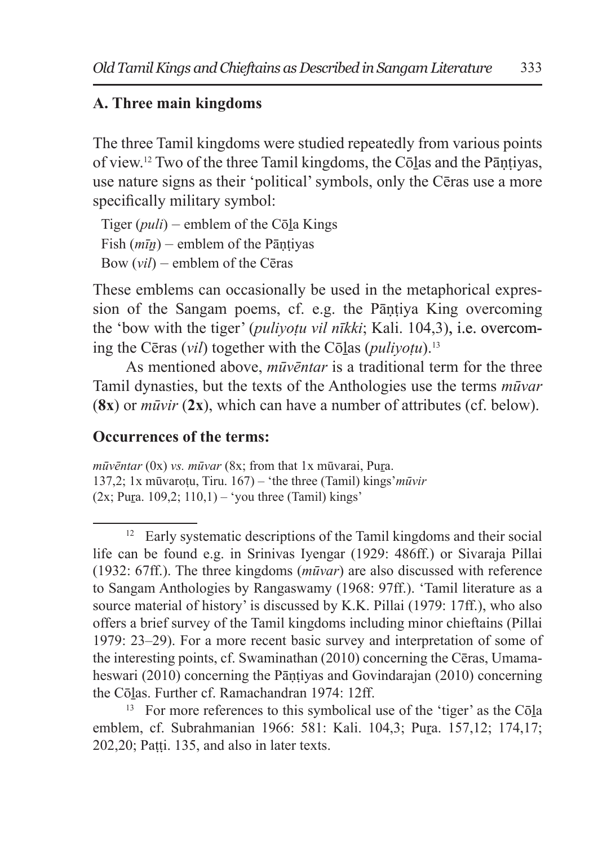## **A. Three main kingdoms**

The three Tamil kingdoms were studied repeatedly from various points of view.12 Two of the three Tamil kingdoms, the Cōḻas and the Pāṇṭiyas, use nature signs as their 'political' symbols, only the Cēras use a more specifically military symbol:

Tiger (*puli*) – emblem of the Cōḻa Kings Fish  $(m\bar{u})$  – emblem of the Pāntiyas Bow (*vil*) – emblem of the Cēras

These emblems can occasionally be used in the metaphorical expression of the Sangam poems, cf. e.g. the Pāntiya King overcoming the 'bow with the tiger' (*puliyoṭu vil nīkki*; Kali. 104,3), i.e. overcoming the Cēras (*vil*) together with the Cōlas (*pulivotu*).<sup>13</sup>

As mentioned above, *mūvēntar* is a traditional term for the three Tamil dynasties, but the texts of the Anthologies use the terms *mūvar*  (**8x**) or *mūvir* (**2x**), which can have a number of attributes (cf. below).

#### **Occurrences of the terms:**

*mūvēntar* (0x) *vs. mūvar* (8x; from that 1x mūvarai, Pura. 137,2; 1x mūvaroṭu, Tiru. 167) – 'the three (Tamil) kings'*mūvir*   $(2x; Pura. 109.2; 110.1) - 'you three (Tamil) kings'$ 

<sup>&</sup>lt;sup>12</sup> Early systematic descriptions of the Tamil kingdoms and their social life can be found e.g. in Srinivas Iyengar (1929: 486ff.) or Sivaraja Pillai (1932: 67ff.). The three kingdoms (*mūvar*) are also discussed with reference to Sangam Anthologies by Rangaswamy (1968: 97ff.). 'Tamil literature as a source material of history' is discussed by K.K. Pillai (1979: 17ff.), who also offers a brief survey of the Tamil kingdoms including minor chieftains (Pillai 1979: 23–29). For a more recent basic survey and interpretation of some of the interesting points, cf. Swaminathan (2010) concerning the Cēras, Umamaheswari (2010) concerning the Pāṇṭiyas and Govindarajan (2010) concerning the Cōlas. Further cf. Ramachandran 1974: 12ff.

<sup>&</sup>lt;sup>13</sup> For more references to this symbolical use of the 'tiger' as the Cōla emblem, cf. Subrahmanian 1966: 581: Kali. 104,3; Pura. 157,12; 174,17; 202,20; Paṭṭi. 135, and also in later texts.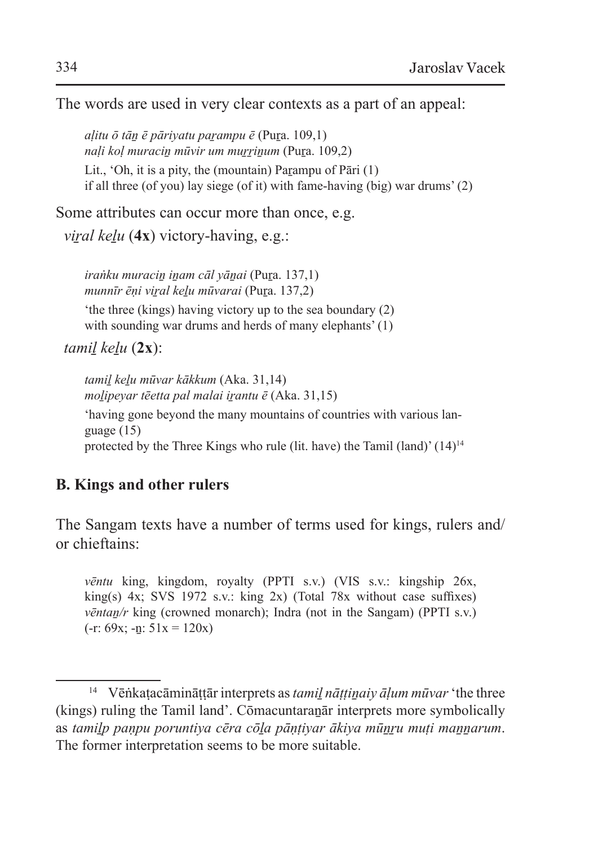The words are used in very clear contexts as a part of an appeal:

*aḷitu ō tāṉ ē pāriyatu paṟampu ē* (Puṟa. 109,1) *naḷi koḷ muraciṉ mūvir um muṟṟiṉum* (Puṟa. 109,2)

Lit., 'Oh, it is a pity, the (mountain) Parampu of Pāri  $(1)$ if all three (of you) lay siege (of it) with fame-having (big) war drums' (2)

Some attributes can occur more than once, e.g.

*viral kelu* (4x) victory-having, e.g.:

*iraṅku muraciṉ iṉam cāl yāṉai* (Puṟa. 137,1) *munnīr ēṇi viṟal keḻu mūvarai* (Puṟa. 137,2)

'the three (kings) having victory up to the sea boundary (2) with sounding war drums and herds of many elephants' (1)

*tamiḻ keḻu* (**2x**):

*tamiḻ keḻu mūvar kākkum* (Aka. 31,14) *moḻipeyar tēetta pal malai iṟantu ē* (Aka. 31,15)

'having gone beyond the many mountains of countries with various language (15) protected by the Three Kings who rule (lit. have) the Tamil (land)' (14)<sup>14</sup>

## **B. Kings and other rulers**

The Sangam texts have a number of terms used for kings, rulers and/ or chieftains:

*vēntu* king, kingdom, royalty (PPTI s.v.) (VIS s.v.: kingship 26x, king(s) 4x; SVS 1972 s.v.: king 2x) (Total 78x without case suffixes) *vēntan/r* king (crowned monarch); Indra (not in the Sangam) (PPTI s.v.)  $(-r: 69x; -n: 51x = 120x)$ 

<sup>14</sup> Vēṅkaṭacāmināṭṭār interprets as *tamiḻ nāṭṭiṉaiy āḷum mūvar* 'the three (kings) ruling the Tamil land'. Cōmacuntaraṉār interprets more symbolically as *tamiḻp paṇpu poruntiya cēra cōḻa pāṇṭiyar ākiya mūṉṟu muṭi maṉṉarum*. The former interpretation seems to be more suitable.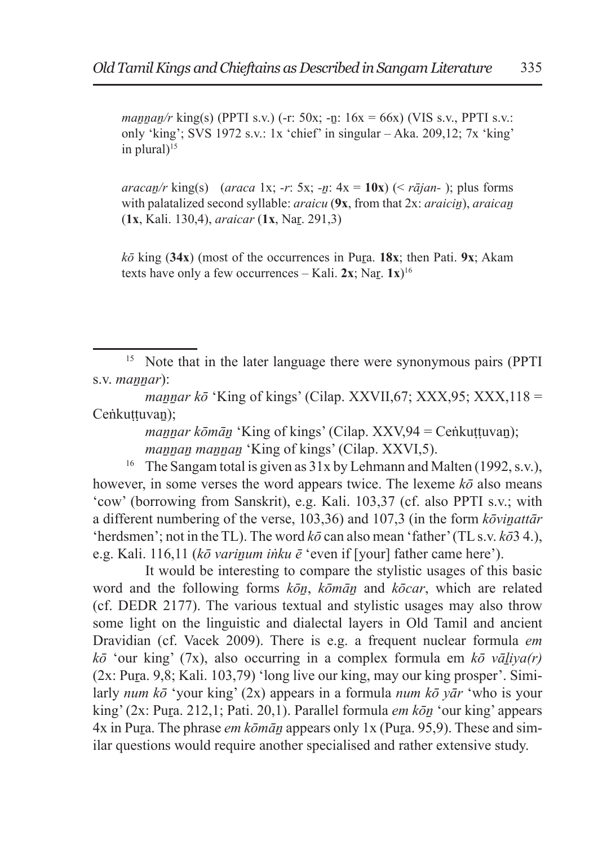*maṉṉaṉ/r* king(s) (PPTI s.v.) (-r: 50x; -ṉ: 16x = 66x) (VIS s.v., PPTI s.v.: only 'king'; SVS 1972 s.v.: 1x 'chief' in singular – Aka. 209,12; 7x 'king' in plural $1^{15}$ 

*aracaṉ/r* king(s) (*araca* 1x; *-r*: 5x; *-ṉ*: 4x = **10x**) (< *rājan-* ); plus forms with palatalized second syllable: *araicu* (9x, from that 2x: *araicin*), *araican* (**1x**, Kali. 130,4), *araicar* (**1x**, Naṟ. 291,3)

 $k\bar{\sigma}$  king (34x) (most of the occurrences in Pura. 18x; then Pati. 9x; Akam texts have only a few occurrences – Kali.  $2x$ ; Nar.  $1x$ <sup>16</sup>

<sup>15</sup> Note that in the later language there were synonymous pairs (PPTI s.v. *mannar*):

*mannar kō* 'King of kings' (Cilap. XXVII,67; XXX,95; XXX,118 = Ceṅkuttuvan):

> *mannar kōmān* 'King of kings' (Cilap. XXV,94 = Ceṅkuṭṭuvan); *mannan mannan* 'King of kings' (Cilap. XXVI,5).

<sup>16</sup> The Sangam total is given as  $31x$  by Lehmann and Malten (1992, s.v.), however, in some verses the word appears twice. The lexeme *kō* also means 'cow' (borrowing from Sanskrit), e.g. Kali. 103,37 (cf. also PPTI s.v.; with a different numbering of the verse, 103,36) and 107,3 (in the form *kōvinattār* 'herdsmen'; not in the TL). The word  $k\bar{o}$  can also mean 'father' (TL s.v.  $k\bar{o}3$  4.), e.g. Kali. 116,11 (*kō varinum inku ē* 'even if [your] father came here').

It would be interesting to compare the stylistic usages of this basic word and the following forms *kōṉ*, *kōmāṉ* and *kōcar*, which are related (cf. DEDR 2177). The various textual and stylistic usages may also throw some light on the linguistic and dialectal layers in Old Tamil and ancient Dravidian (cf. Vacek 2009). There is e.g. a frequent nuclear formula *em*   $k\bar{\sigma}$  'our king' (7x), also occurring in a complex formula em  $k\bar{\sigma}$  *vāliya(r)*  $(2x: Pura. 9,8; Kali. 103,79)$  'long live our king, may our king prosper'. Similarly *num kō* 'your king' (2x) appears in a formula *num kō yār* 'who is your king' (2x: Pura. 212,1; Pati. 20,1). Parallel formula *em kōn* 'our king' appears 4x in Pura. The phrase *em kōmān* appears only 1x (Pura. 95,9). These and similar questions would require another specialised and rather extensive study.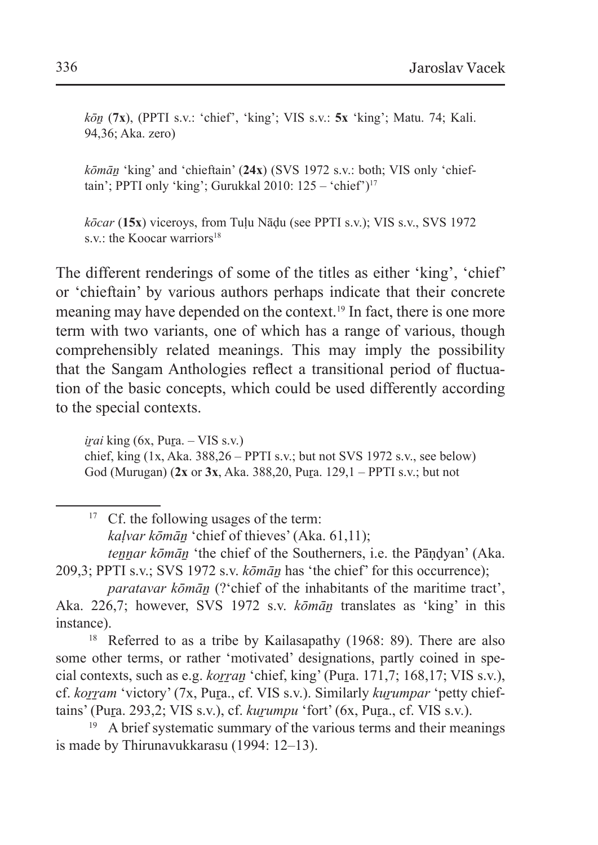*kōṉ* (**7x**), (PPTI s.v.: 'chief', 'king'; VIS s.v.: **5x** 'king'; Matu. 74; Kali. 94,36; Aka. zero)

*kōmāṉ* 'king' and 'chieftain' (**24x**) (SVS 1972 s.v.: both; VIS only 'chieftain': PPTI only 'king': Gurukkal 2010:  $125 - \text{'chief'}$ )<sup>17</sup>

*kōcar* (**15x**) viceroys, from Tuḷu Nāḍu (see PPTI s.v.); VIS s.v., SVS 1972 s.v.: the Koocar warriors<sup>18</sup>

The different renderings of some of the titles as either 'king', 'chief' or 'chieftain' by various authors perhaps indicate that their concrete meaning may have depended on the context.19 In fact, there is one more term with two variants, one of which has a range of various, though comprehensibly related meanings. This may imply the possibility that the Sangam Anthologies reflect a transitional period of fluctuation of the basic concepts, which could be used differently according to the special contexts.

 $$ chief, king  $(1x, Aka. 388.26 - PPTI s.v.:$  but not SVS 1972 s.v., see below) God (Murugan) (**2x** or **3x**, Aka. 388,20, Puṟa. 129,1 – PPTI s.v.; but not

<sup>17</sup> Cf. the following usages of the term:

*kaḷvar kōmāṉ* 'chief of thieves' (Aka. 61,11);

*tennar kōmān* 'the chief of the Southerners, i.e. the Pāndyan' (Aka. 209,3; PPTI s.v.; SVS 1972 s.v. *kōmāṉ* has 'the chief' for this occurrence);

*paratavar kōmān* (?'chief of the inhabitants of the maritime tract', Aka. 226,7; however, SVS 1972 s.v. *kōmān* translates as 'king' in this instance).

<sup>18</sup> Referred to as a tribe by Kailasapathy (1968: 89). There are also some other terms, or rather 'motivated' designations, partly coined in special contexts, such as e.g. *korran* 'chief, king' (Pura. 171,7; 168,17; VIS s.v.), cf. *koṟṟam* 'victory' (7x, Puṟa., cf. VIS s.v.). Similarly *kuṟumpar* 'petty chieftains' (Pura. 293,2; VIS s.v.), cf. *kurumpu* 'fort' (6x, Pura., cf. VIS s.v.).

 $19$  A brief systematic summary of the various terms and their meanings is made by Thirunavukkarasu (1994: 12–13).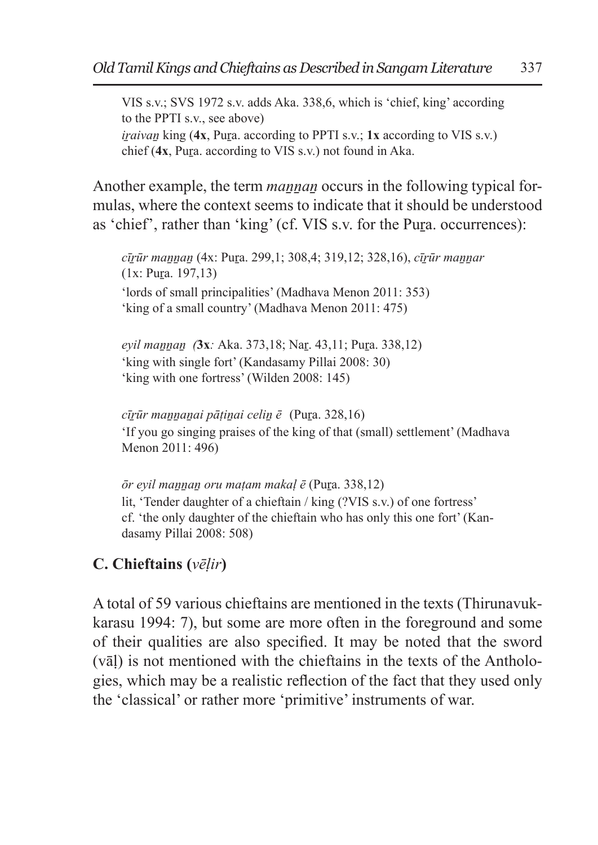VIS s.v.; SVS 1972 s.v. adds Aka. 338,6, which is 'chief, king' according to the PPTI s.v., see above) *iraivan* king (4x, Pura. according to PPTI s.v.; 1x according to VIS s.v.) chief (**4x**, Puṟa. according to VIS s.v.) not found in Aka.

Another example, the term *mannan* occurs in the following typical formulas, where the context seems to indicate that it should be understood as 'chief', rather than 'king' (cf. VIS s.v. for the Pura. occurrences):

*cīṟūr maṉṉaṉ* (4x: Puṟa. 299,1; 308,4; 319,12; 328,16), *cīṟūr maṉṉar*   $(1x: Pura. 197, 13)$ 'lords of small principalities' (Madhava Menon 2011: 353) 'king of a small country' (Madhava Menon 2011: 475)

*eyil maṉṉaṉ (***3x***:* Aka. 373,18; Naṟ. 43,11; Puṟa. 338,12) 'king with single fort' (Kandasamy Pillai 2008: 30) 'king with one fortress' (Wilden 2008: 145)

*cīṟūr maṉṉaṉai pāṭiṉai celiṉ ē* (Puṟa. 328,16) 'If you go singing praises of the king of that (small) settlement' (Madhava Menon 2011: 496)

*ōr eyil maṉṉaṉ oru maṭam makaḷ ē* (Puṟa. 338,12) lit, 'Tender daughter of a chieftain / king (?VIS s.v.) of one fortress' cf. 'the only daughter of the chieftain who has only this one fort' (Kandasamy Pillai 2008: 508)

## **C. Chieftains (***vēḷir***)**

A total of 59 various chieftains are mentioned in the texts (Thirunavukkarasu 1994: 7), but some are more often in the foreground and some of their qualities are also specified. It may be noted that the sword (vāḷ) is not mentioned with the chieftains in the texts of the Anthologies, which may be a realistic reflection of the fact that they used only the 'classical' or rather more 'primitive' instruments of war.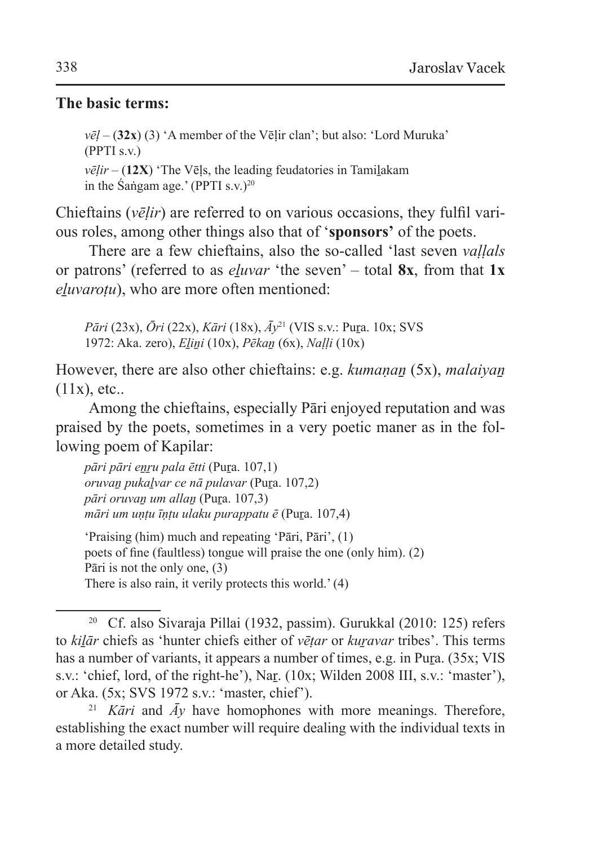#### **The basic terms:**

 $v\bar{e}l - (32x)$  (3) 'A member of the Vēlir clan'; but also: 'Lord Muruka' (PPTI s.v.)  $v\bar{e}$ *lir –* (12X) 'The Vēls, the leading feudatories in Tamilakam in the Sangam age.' (PPTI s.v.) $^{20}$ 

Chieftains (*vēḷir*) are referred to on various occasions, they fulfil various roles, among other things also that of '**sponsors'** of the poets.

There are a few chieftains, also the so-called 'last seven *vaḷḷals* or patrons' (referred to as *eḻuvar* 'the seven' – total **8x**, from that **1x** *eluvarotu*), who are more often mentioned:

*Pāri* (23x), *Ōri* (22x), *Kāri* (18x), *Āy*<sup>21</sup> (VIS s.v.: Puṟa. 10x; SVS 1972: Aka. zero), *Eḻiṉi* (10x), *Pēkaṉ* (6x), *Naḷḷi* (10x)

However, there are also other chieftains: e.g. *kumanan* (5x), *malaiyan*  $(11x)$ , etc..

Among the chieftains, especially Pāri enjoyed reputation and was praised by the poets, sometimes in a very poetic maner as in the following poem of Kapilar:

*pāri pāri eṉṟu pala ētti* (Puṟa. 107,1) *oruvaṉ pukaḻvar ce nā pulavar* (Puṟa. 107,2) *pāri oruvaṉ um allaṉ* (Puṟa. 107,3) *māri um uṇṭu īṇṭu ulaku purappatu ē* (Puṟa. 107,4)

'Praising (him) much and repeating 'Pāri, Pāri', (1) poets of fine (faultless) tongue will praise the one (only him). (2) Pāri is not the only one, (3) There is also rain, it verily protects this world.' (4)

<sup>20</sup> Cf. also Sivaraja Pillai (1932, passim). Gurukkal (2010: 125) refers to *kiḻār* chiefs as 'hunter chiefs either of *vēṭar* or *kuṟavar* tribes'. This terms has a number of variants, it appears a number of times, e.g. in Pura. (35x; VIS s.v.: 'chief, lord, of the right-he'), Nar. (10x; Wilden 2008 III, s.v.: 'master'), or Aka. (5x; SVS 1972 s.v.: 'master, chief').

<sup>&</sup>lt;sup>21</sup> *Kāri* and  $\bar{A}y$  have homophones with more meanings. Therefore, establishing the exact number will require dealing with the individual texts in a more detailed study.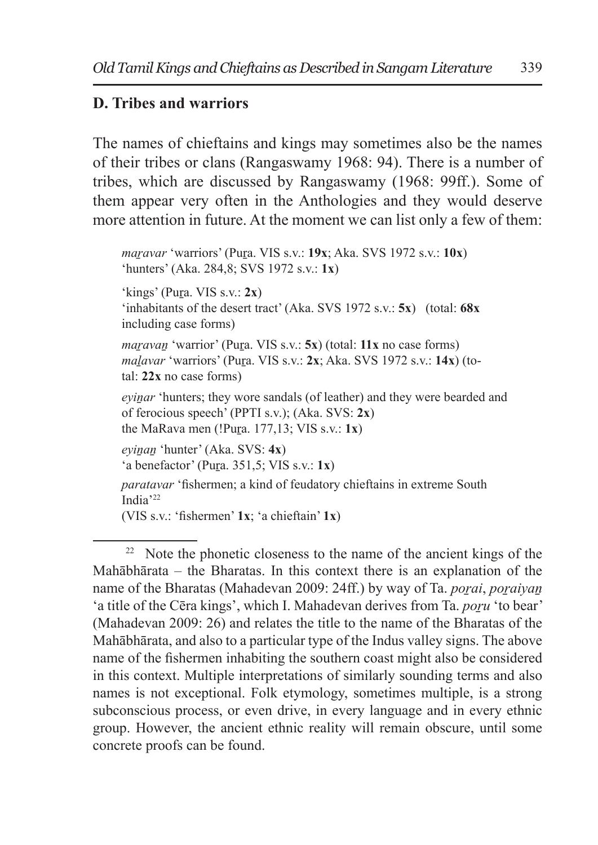### **D. Tribes and warriors**

The names of chieftains and kings may sometimes also be the names of their tribes or clans (Rangaswamy 1968: 94). There is a number of tribes, which are discussed by Rangaswamy (1968: 99ff.). Some of them appear very often in the Anthologies and they would deserve more attention in future. At the moment we can list only a few of them:

*maṟavar* 'warriors' (Puṟa. VIS s.v.: **19x**; Aka. SVS 1972 s.v.: **10x**) 'hunters' (Aka. 284,8; SVS 1972 s.v.: **1x**) 'kings' (Puṟa. VIS s.v.: **2x**) 'inhabitants of the desert tract' (Aka. SVS 1972 s.v.: **5x**) (total: **68x** including case forms) *maravan* 'warrior' (Pura. VIS s.v.: 5x) (total: 11x no case forms) *maḻavar* 'warriors' (Puṟa. VIS s.v.: **2x**; Aka. SVS 1972 s.v.: **14x**) (total: **22x** no case forms) *eyinar* 'hunters; they wore sandals (of leather) and they were bearded and of ferocious speech' (PPTI s.v.); (Aka. SVS: **2x**) the MaRava men (!Puṟa. 177,13; VIS s.v.: **1x**) *eyiṉaṉ* 'hunter' (Aka. SVS: **4x**) 'a benefactor' (Puṟa. 351,5; VIS s.v.: **1x**) *paratavar* 'fishermen; a kind of feudatory chieftains in extreme South India'<sup>22</sup> (VIS s.v.: 'fishermen' **1x**; 'a chieftain' **1x**)

<sup>&</sup>lt;sup>22</sup> Note the phonetic closeness to the name of the ancient kings of the Mahābhārata – the Bharatas. In this context there is an explanation of the name of the Bharatas (Mahadevan 2009: 24ff.) by way of Ta. *porai*, *poraiyan* 'a title of the Cēra kings', which I. Mahadevan derives from Ta. *poru* 'to bear' (Mahadevan 2009: 26) and relates the title to the name of the Bharatas of the Mahābhārata, and also to a particular type of the Indus valley signs. The above name of the fishermen inhabiting the southern coast might also be considered in this context. Multiple interpretations of similarly sounding terms and also names is not exceptional. Folk etymology, sometimes multiple, is a strong subconscious process, or even drive, in every language and in every ethnic group. However, the ancient ethnic reality will remain obscure, until some concrete proofs can be found.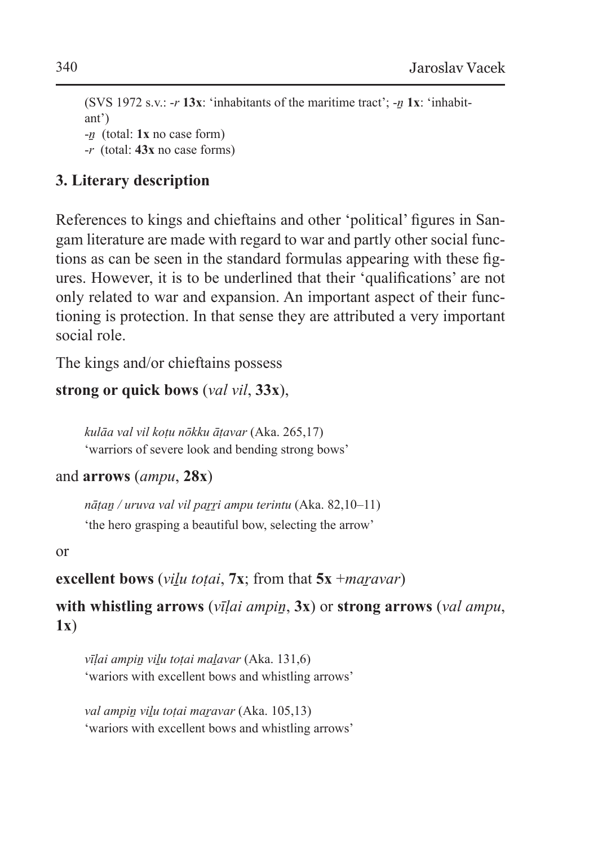(SVS 1972 s.v.: -*r* **13x**: 'inhabitants of the maritime tract'; -*ṉ* **1x**: 'inhabitant') -*ṉ* (total: **1x** no case form) -*r* (total: **43x** no case forms)

## **3. Literary description**

References to kings and chieftains and other 'political' figures in Sangam literature are made with regard to war and partly other social functions as can be seen in the standard formulas appearing with these figures. However, it is to be underlined that their 'qualifications' are not only related to war and expansion. An important aspect of their functioning is protection. In that sense they are attributed a very important social role.

The kings and/or chieftains possess

## **strong or quick bows** (*val vil*, **33x**),

*kulāa val vil koṭu nōkku āṭavar* (Aka. 265,17) 'warriors of severe look and bending strong bows'

## and **arrows** (*ampu*, **28x**)

*nāṭaṉ / uruva val vil paṟṟi ampu terintu* (Aka. 82,10–11) 'the hero grasping a beautiful bow, selecting the arrow'

#### or

```
excellent bows (viḻu toṭai, 7x; from that 5x +maṟavar)
```
**with whistling arrows** (*vīḷai ampiṉ*, **3x**) or **strong arrows** (*val ampu*, **1x**)

*vīḷai ampiṉ viḻu toṭai maḻavar* (Aka. 131,6) 'wariors with excellent bows and whistling arrows'

*val ampiṉ viḻu toṭai maṟavar* (Aka. 105,13) 'wariors with excellent bows and whistling arrows'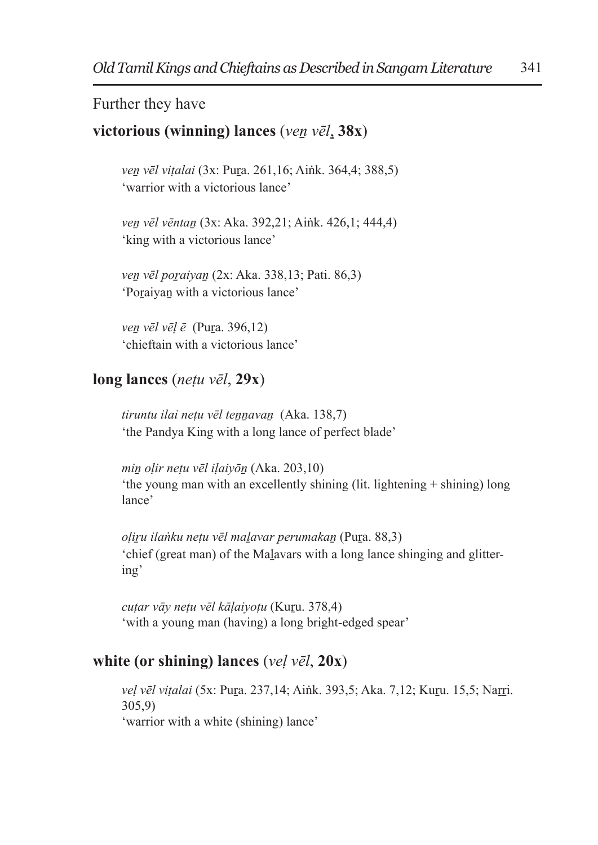### Further they have

### **victorious (winning) lances** (*veṉ vēl*, **38x**)

*veṉ vēl viṭalai* (3x: Puṟa. 261,16; Aiṅk. 364,4; 388,5) 'warrior with a victorious lance'

*veṉ vēl vēntaṉ* (3x: Aka. 392,21; Aiṅk. 426,1; 444,4) 'king with a victorious lance'

*veṉ vēl poṟaiyaṉ* (2x: Aka. 338,13; Pati. 86,3) 'Poraiyan with a victorious lance'

*veṉ vēl vēḷ ē* (Puṟa. 396,12) 'chieftain with a victorious lance'

#### **long lances** (*neṭu vēl*, **29x**)

*tiruntu ilai neṭu vēl teṉṉavaṉ* (Aka. 138,7) 'the Pandya King with a long lance of perfect blade'

*miṉ oḷir neṭu vēl iḷaiyōṉ* (Aka. 203,10) 'the young man with an excellently shining (lit. lightening + shining) long lance'

*oḷiṟu ilaṅku neṭu vēl maḻavar perumakaṉ* (Puṟa. 88,3) 'chief (great man) of the Maḻavars with a long lance shinging and glittering'

*cuṭar vāy neṭu vēl kāḷaiyoṭu* (Kuṟu. 378,4) 'with a young man (having) a long bright-edged spear'

## **white (or shining) lances** (*veḷ vēl*, **20x**)

*veḷ vēl viṭalai* (5x: Puṟa. 237,14; Aiṅk. 393,5; Aka. 7,12; Kuṟu. 15,5; Naṟṟi. 305,9) 'warrior with a white (shining) lance'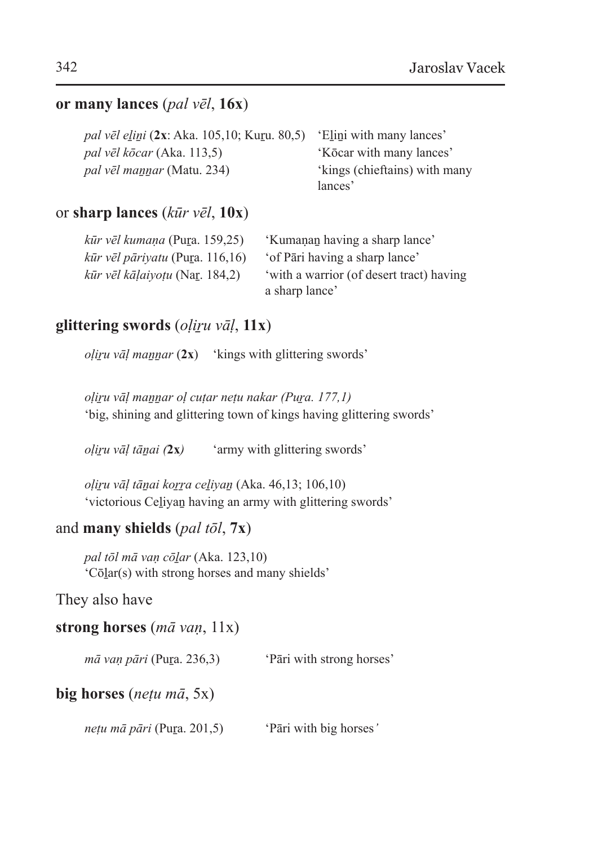#### **or many lances** (*pal vēl*, **16x**)

| <i>pal vēl elini</i> (2x: Aka. 105,10; Kuru. 80,5) | 'Elini with many lances'      |
|----------------------------------------------------|-------------------------------|
| <i>pal vēl kōcar</i> (Aka. 113,5)                  | 'Kōcar with many lances'      |
| <i>pal vēl mannar</i> (Matu. 234)                  | 'kings (chieftains) with many |
|                                                    | lances'                       |

#### or **sharp lances** (*kūr vēl*, **10x**)

| kūr vēl kumaņa (Pura. 159,25)           | 'Kumanan having a sharp lance'                             |
|-----------------------------------------|------------------------------------------------------------|
| $k\bar{u}r$ vēl pāriyatu (Pura. 116,16) | 'of Pāri having a sharp lance'                             |
| $k\bar{u}r$ vēl kāļaiyotu (Nar. 184,2)  | 'with a warrior (of desert tract) having<br>a sharp lance' |

## **glittering swords** (*oḷiṟu vāḷ*, **11x**)

*oḷiṟu vāḷ maṉṉar* (**2x**) 'kings with glittering swords'

*oḷiṟu vāḷ maṉṉar oḷ cuṭar neṭu nakar (Puṟa. 177,1)* 'big, shining and glittering town of kings having glittering swords'

*oḷiṟu vāḷ tāṉai (***2x***)* 'army with glittering swords'

*oḷiṟu vāḷ tāṉai koṟṟa ceḻiyaṉ* (Aka. 46,13; 106,10) 'victorious Ceḻiyaṉ having an army with glittering swords'

#### and **many shields** (*pal tōl*, **7x**)

*pal tōl mā vaṇ cōḻar* (Aka. 123,10) 'Cōḻar(s) with strong horses and many shields'

They also have

#### **strong horses** (*mā vaṇ*, 11x)

*mā vaṇ pāri* (Pura. 236,3) <sup>'</sup>Pāri with strong horses'

#### **big horses** (*neṭu mā*, 5x)

*neṭu mā pāri* (Pura. 201,5) <sup>'</sup>Pāri with big horses'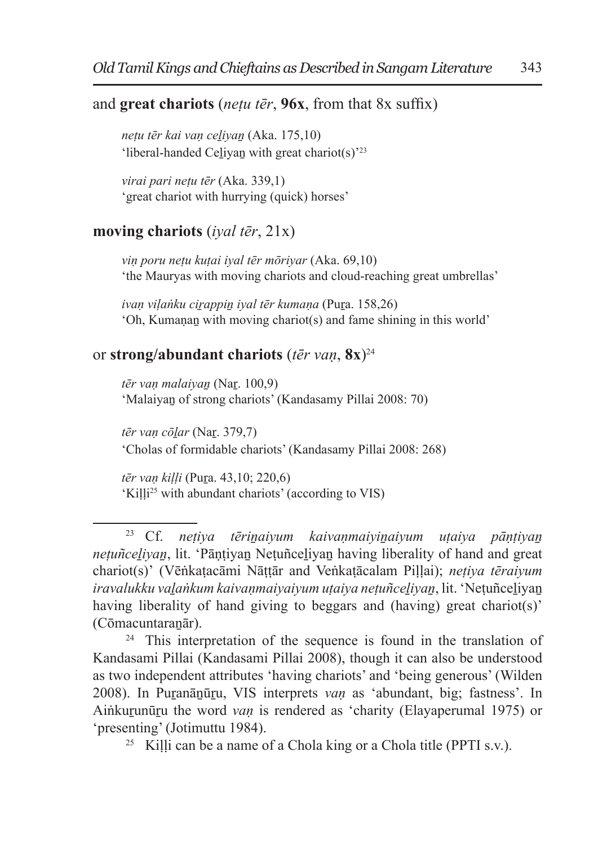#### and **great chariots** (*neṭu tēr*, **96x**, from that 8x suffix)

*neṭu tēr kai vaṇ ceḻiyaṉ* (Aka. 175,10) 'liberal-handed Ceḻiyaṉ with great chariot(s)'<sup>23</sup>

*virai pari neṭu tēr* (Aka. 339,1) 'great chariot with hurrying (quick) horses'

#### **moving chariots** (*iyal tēr*, 21x)

*viṇ poru neṭu kuṭai iyal tēr mōriyar* (Aka. 69,10) 'the Mauryas with moving chariots and cloud-reaching great umbrellas'

*ivaṇ viḷaṅku ciṟappiṉ iyal tēr kumaṇa* (Puṟa. 158,26) 'Oh, Kumaṇaṉ with moving chariot(s) and fame shining in this world'

#### or **strong/abundant chariots** (*tēr vaṇ*, **8x**)<sup>24</sup>

*tēr vaṇ malaiyaṉ* (Naṟ. 100,9) 'Malaiyaṉ of strong chariots' (Kandasamy Pillai 2008: 70)

*tēr vaṇ cōḻar* (Naṟ. 379,7) 'Cholas of formidable chariots' (Kandasamy Pillai 2008: 268)

*tēr vaṇ kiḷḷi* (Puṟa. 43,10; 220,6) 'Kiḷḷi<sup>25</sup> with abundant chariots' (according to VIS)

<sup>24</sup> This interpretation of the sequence is found in the translation of Kandasami Pillai (Kandasami Pillai 2008), though it can also be understood as two independent attributes 'having chariots' and 'being generous' (Wilden 2008). In Puṟanāṉūṟu, VIS interprets *vaṇ* as 'abundant, big; fastness'. In Ainkurunūru the word *van* is rendered as 'charity (Elayaperumal 1975) or 'presenting' (Jotimuttu 1984).

<sup>25</sup> Killi can be a name of a Chola king or a Chola title (PPTI s.v.).

<sup>23</sup> Cf. *neṭiya tēriṉaiyum kaivaṇmaiyiṉaiyum uṭaiya pāṇṭiyaṉ neṭuñceḻiyaṉ*, lit. 'Pāṇṭiyaṉ Neṭuñceḻiyaṉ having liberality of hand and great chariot(s)' (Vēṅkaṭacāmi Nāṭṭār and Veṅkaṭācalam Piḷḷai); *neṭiya tēraiyum iravalukku vaḻaṅkum kaivaṇmaiyaiyum uṭaiya neṭuñceḻiyaṉ*, lit. 'Neṭuñceḻiyaṉ having liberality of hand giving to beggars and (having) great chariot(s)' (Cōmacuntaraṉār).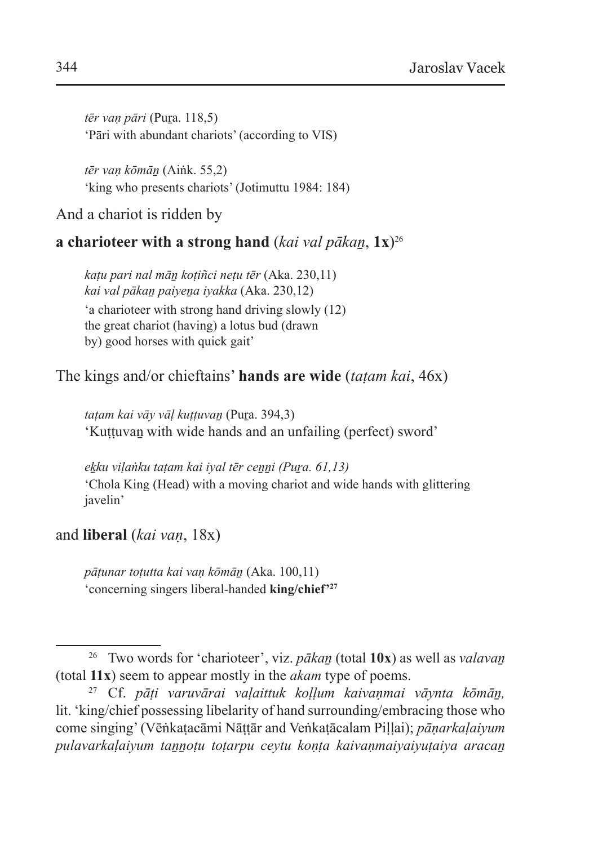*tēr vaṇ pāri* (Puṟa. 118,5) 'Pāri with abundant chariots' (according to VIS)

*tēr vaṇ kōmāṉ* (Aiṅk. 55,2) 'king who presents chariots' (Jotimuttu 1984: 184)

And a chariot is ridden by

### **a charioteer with a strong hand** (*kai val pākan*,  $1x^{26}$

*kaṭu pari nal māṉ koṭiñci neṭu tēr* (Aka. 230,11) *kai val pākaṉ paiyeṉa iyakka* (Aka. 230,12) 'a charioteer with strong hand driving slowly (12) the great chariot (having) a lotus bud (drawn by) good horses with quick gait'

The kings and/or chieftains' **hands are wide** (*taṭam kai*, 46x)

*taṭam kai vāy vāḷ kuṭṭuvaṉ* (Puṟa. 394,3) 'Kuṭṭuvaṉ with wide hands and an unfailing (perfect) sword'

*eḵku viḷaṅku taṭam kai iyal tēr ceṉṉi (Puṟa. 61,13)* 'Chola King (Head) with a moving chariot and wide hands with glittering javelin'

and **liberal** (*kai vaṇ*, 18x)

*pāṭunar toṭutta kai vaṇ kōmāṉ* (Aka. 100,11) 'concerning singers liberal-handed **king/chief'27**

<sup>26</sup> Two words for 'charioteer', viz. *pākaṉ* (total **10x**) as well as *valavaṉ* (total **11x**) seem to appear mostly in the *akam* type of poems.

<sup>27</sup> Cf. *pāṭi varuvārai vaḷaittuk koḷḷum kaivaṇmai vāynta kōmāṉ,* lit. 'king/chief possessing libelarity of hand surrounding/embracing those who come singing' (Vēṅkaṭacāmi Nāṭṭār and Veṅkaṭācalam Piḷḷai); *pāṇarkaḷaiyum pulavarkaḷaiyum taṉṉoṭu toṭarpu ceytu koṇṭa kaivaṇmaiyaiyuṭaiya aracaṉ*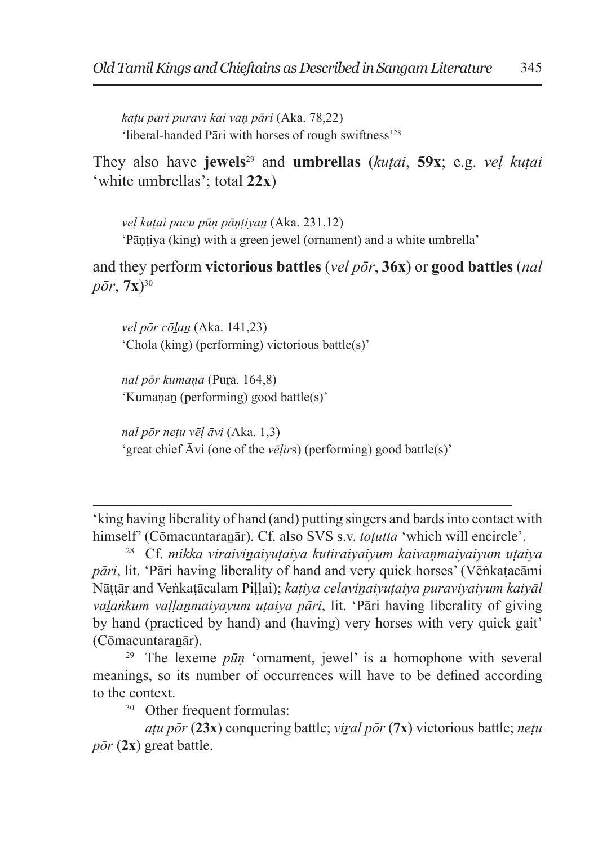*kaṭu pari puravi kai vaṇ pāri* (Aka. 78,22) 'liberal-handed Pāri with horses of rough swiftness'<sup>28</sup>

They also have **jewels**<sup>29</sup> and **umbrellas** (*kuṭai*, **59x**; e.g. *veḷ kuṭai* 'white umbrellas'; total **22x**)

*veḷ kuṭai pacu pūṇ pāṇṭiyaṉ* (Aka. 231,12) 'Pāṇṭiya (king) with a green jewel (ornament) and a white umbrella'

and they perform **victorious battles** (*vel pōr*, **36x**) or **good battles** (*nal*   $p\bar{o}r, 7x$ <sup>30</sup>

*vel pōr cōḻaṉ* (Aka. 141,23) 'Chola (king) (performing) victorious battle(s)'

*nal pōr kumaṇa* (Puṟa. 164,8) 'Kumaṇaṉ (performing) good battle(s)'

*nal pōr neṭu vēḷ āvi* (Aka. 1,3) 'great chief Āvi (one of the *vēḷir*s) (performing) good battle(s)'

'king having liberality of hand (and) putting singers and bards into contact with himself' (Cōmacuntaranār). Cf. also SVS s.v. *totutta* 'which will encircle'.

<sup>28</sup> Cf. *mikka viraiviṉaiyuṭaiya kutiraiyaiyum kaivaṇmaiyaiyum uṭaiya pāri*, lit. 'Pāri having liberality of hand and very quick horses' (Vēṅkaṭacāmi Nāttār and Veṅkaṭācalam Pillai); katiya celavinaiyutaiya puraviyaiyum kaiyāl *vaḻaṅkum vaḷḷaṉmaiyayum uṭaiya pāri*, lit. 'Pāri having liberality of giving by hand (practiced by hand) and (having) very horses with very quick gait' (Cōmacuntaraṉār).

<sup>29</sup> The lexeme *pūṇ* 'ornament, jewel' is a homophone with several meanings, so its number of occurrences will have to be defined according to the context.

<sup>30</sup> Other frequent formulas:

*aṭu pōr* (**23x**) conquering battle; *viṟal pōr* (**7x**) victorious battle; *neṭu pōr* (**2x**) great battle.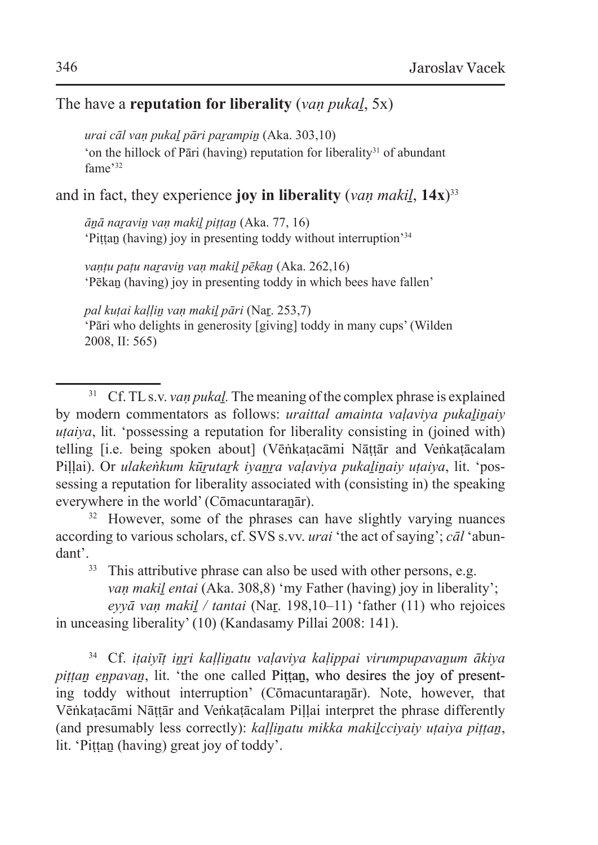#### The have a **reputation for liberality** (*vaṇ pukaḻ*, 5x)

*urai cāl vaṇ pukaḻ pāri paṟampiṉ* (Aka. 303,10) 'on the hillock of Pāri (having) reputation for liberality<sup>31</sup> of abundant fame'<sup>32</sup>

and in fact, they experience **joy in liberality**  $(van \, maki, 14x)^{33}$ 

*āṉā naṟaviṉ vaṇ makiḻ piṭṭaṉ* (Aka. 77, 16) 'Piṭṭaṉ (having) joy in presenting toddy without interruption'<sup>34</sup>

*vaṇṭu paṭu naṟaviṉ vaṇ makiḻ pēkaṉ* (Aka. 262,16) 'Pēkaṉ (having) joy in presenting toddy in which bees have fallen'

*pal kuṭai kaḷḷiṉ vaṇ makiḻ pāri* (Naṟ. 253,7) 'Pāri who delights in generosity [giving] toddy in many cups' (Wilden 2008, II: 565)

<sup>31</sup> Cf. TL s.v. *van pukal*. The meaning of the complex phrase is explained by modern commentators as follows: *uraittal amainta valaviya pukalinaiy uṭaiya*, lit. 'possessing a reputation for liberality consisting in (joined with) telling [i.e. being spoken about] (Vēṅkaṭacāmi Nāṭṭār and Veṅkaṭācalam Pillai). Or *ulakeṅkum kūrutark iyanra valaviya pukalinaiy utaiya*, lit. 'possessing a reputation for liberality associated with (consisting in) the speaking everywhere in the world' (Cōmacuntaranār).

<sup>32</sup> However, some of the phrases can have slightly varying nuances according to various scholars, cf. SVS s.vv. *urai* 'the act of saying'; *cāl* 'abundant'.

<sup>33</sup> This attributive phrase can also be used with other persons, e.g. *van makil entai* (Aka. 308,8) 'my Father (having) joy in liberality';

*eyyā vaṇ makiḻ / tantai* (Naṟ. 198,10–11) 'father (11) who rejoices in unceasing liberality' (10) (Kandasamy Pillai 2008: 141).

<sup>34</sup> Cf. *iṭaiyīṭ iṉṟi kaḷḷiṉatu vaḷaviya kaḷippai virumpupavaṉum ākiya piṭṭaṉ eṉpavaṉ*, lit. 'the one called Piṭṭaṉ, who desires the joy of presenting toddy without interruption' (Comacuntaranana). Note, however, that Vēṅkaṭacāmi Nāṭṭār and Veṅkaṭācalam Piḷḷai interpret the phrase differently (and presumably less correctly): *kaḷḷiṉatu mikka makiḻcciyaiy uṭaiya piṭṭaṉ*, lit. 'Pittan (having) great joy of toddy'.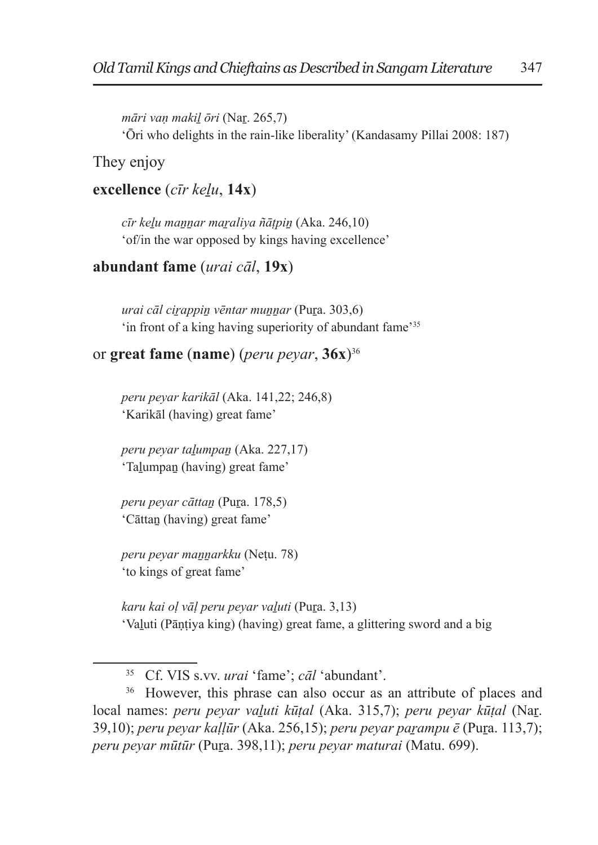*māri vaṇ makiḻ ōri* (Naṟ. 265,7) 'Ōri who delights in the rain-like liberality' (Kandasamy Pillai 2008: 187)

They enjoy

**excellence** (*cīr keḻu*, **14x**)

*cīr keḻu maṉṉar maṟaliya ñāṭpiṉ* (Aka. 246,10) 'of/in the war opposed by kings having excellence'

#### **abundant fame** (*urai cāl*, **19x**)

*urai cāl ciṟappiṉ vēntar muṉṉar* (Puṟa. 303,6) 'in front of a king having superiority of abundant fame'<sup>35</sup>

#### or **great fame** (**name**) (*peru peyar*, **36x**)<sup>36</sup>

*peru peyar karikāl* (Aka. 141,22; 246,8) 'Karikāl (having) great fame'

*peru peyar taḻumpaṉ* (Aka. 227,17) 'Taḻumpaṉ (having) great fame'

*peru peyar cāttaṉ* (Puṟa. 178,5) 'Cāttaṉ (having) great fame'

*peru peyar maṉṉarkku* (Neṭu. 78) 'to kings of great fame'

*karu kai oḷ vāḷ peru peyar vaḻuti* (Puṟa. 3,13) 'Vaḻuti (Pāṇṭiya king) (having) great fame, a glittering sword and a big

<sup>36</sup> However, this phrase can also occur as an attribute of places and local names: *peru peyar vaḻuti kūṭal* (Aka. 315,7); *peru peyar kūṭal* (Naṟ. 39,10); *peru peyar kaḷḷūr* (Aka. 256,15); *peru peyar paṟampu ē* (Puṟa. 113,7); *peru peyar mūtūr* (Puṟa. 398,11); *peru peyar maturai* (Matu. 699).

<sup>35</sup> Cf. VIS s.vv. *urai* 'fame'; *cāl* 'abundant'.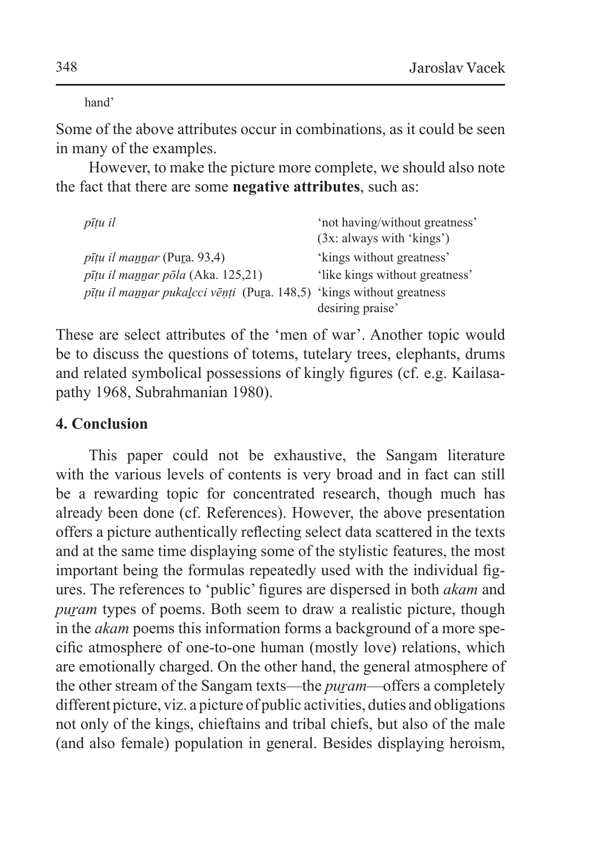hand'

Some of the above attributes occur in combinations, as it could be seen in many of the examples.

However, to make the picture more complete, we should also note the fact that there are some **negative attributes**, such as:

| pītu il                                                              | 'not having/without greatness'<br>$(3x:$ always with 'kings') |
|----------------------------------------------------------------------|---------------------------------------------------------------|
| <i>pīțu il mannar</i> (Pura. 93,4)                                   | 'kings without greatness'                                     |
| pīțu il mannar pōla (Aka. 125,21)                                    | 'like kings without greatness'                                |
| pīțu il mannar pukalcci vēņți (Pura. 148,5) 'kings without greatness |                                                               |
|                                                                      | desiring praise'                                              |

These are select attributes of the 'men of war'. Another topic would be to discuss the questions of totems, tutelary trees, elephants, drums and related symbolical possessions of kingly figures (cf. e.g. Kailasapathy 1968, Subrahmanian 1980).

## **4. Conclusion**

This paper could not be exhaustive, the Sangam literature with the various levels of contents is very broad and in fact can still be a rewarding topic for concentrated research, though much has already been done (cf. References). However, the above presentation offers a picture authentically reflecting select data scattered in the texts and at the same time displaying some of the stylistic features, the most important being the formulas repeatedly used with the individual figures. The references to 'public' figures are dispersed in both *akam* and *puram* types of poems. Both seem to draw a realistic picture, though in the *akam* poems this information forms a background of a more specific atmosphere of one-to-one human (mostly love) relations, which are emotionally charged. On the other hand, the general atmosphere of the other stream of the Sangam texts—the *puṟam*—offers a completely different picture, viz. a picture of public activities, duties and obligations not only of the kings, chieftains and tribal chiefs, but also of the male (and also female) population in general. Besides displaying heroism,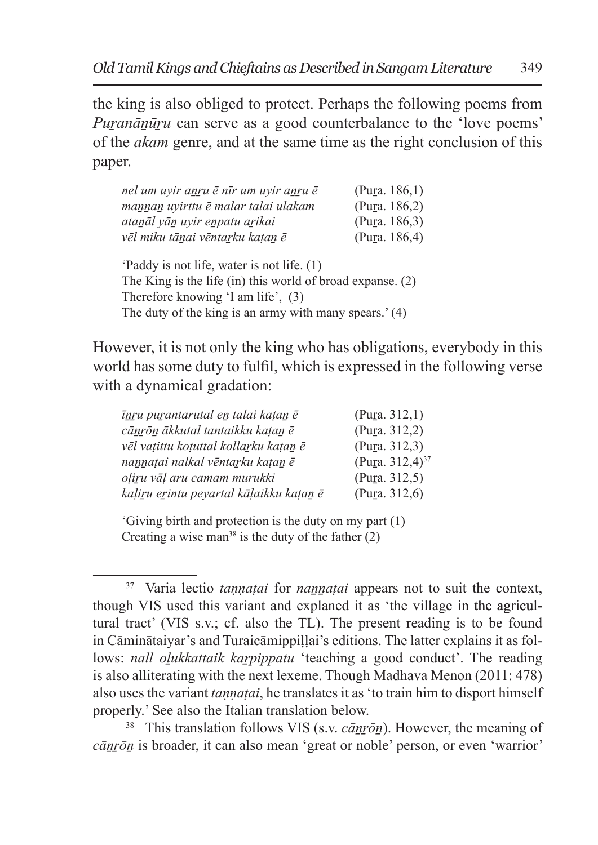the king is also obliged to protect. Perhaps the following poems from *Puranānūru* can serve as a good counterbalance to the 'love poems' of the *akam* genre, and at the same time as the right conclusion of this paper.

| nel um uyir anru ē nīr um uyir anru ē                                                                                                             | (Pura. $186.1$ ) |  |
|---------------------------------------------------------------------------------------------------------------------------------------------------|------------------|--|
| mannan uyirttu ē malar talai ulakam                                                                                                               | (Pura. 186,2)    |  |
| atanāl vān uvir enpatu arikai                                                                                                                     | (Pura. $186,3$ ) |  |
| vēl miku tānai vēntarku katan ē                                                                                                                   | (Pura. 186,4)    |  |
| Paddy is not life, water is not life. (1)<br>The King is the life $(in)$ this world of broad expanse. $(2)$<br>Therefore knowing 'I am life', (3) |                  |  |
| The duty of the king is an army with many spears.' (4)                                                                                            |                  |  |

However, it is not only the king who has obligations, everybody in this world has some duty to fulfil, which is expressed in the following verse with a dynamical gradation:

| īnru purantarutal en talai kațan ē      | (Pura. 312, 1)              |
|-----------------------------------------|-----------------------------|
| cānrōn ākkutal tantaikku kațan ē        | (Pura. 312,2)               |
| vēl vatittu kotuttal kollarku katan ē   | (Pura. 312.3)               |
| nannatai nalkal vēntarku katan ē        | (Pura. 312,4) <sup>37</sup> |
| oliru vāl aru camam murukki             | (Pura. 312,5)               |
| kaļiru erintu peyartal kāļaikku katan ē | (Pura. 312,6)               |

'Giving birth and protection is the duty on my part (1) Creating a wise man<sup>38</sup> is the duty of the father  $(2)$ 

<sup>38</sup> This translation follows VIS (s.v. *cānrōn*). However, the meaning of *cāṉṟōṉ* is broader, it can also mean 'great or noble' person, or even 'warrior'

<sup>&</sup>lt;sup>37</sup> Varia lectio *tannatai* for *na<u>nnatai</u>* appears not to suit the context, though VIS used this variant and explaned it as 'the village in the agricultural tract' (VIS s.v.; cf. also the TL). The present reading is to be found in Cāminātaiyar's and Turaicāmippillai's editions. The latter explains it as follows: *nall olukkattaik karpippatu* 'teaching a good conduct'. The reading is also alliterating with the next lexeme. Though Madhava Menon (2011: 478) also uses the variant *taṇṇaṭai*, he translates it as 'to train him to disport himself properly.' See also the Italian translation below.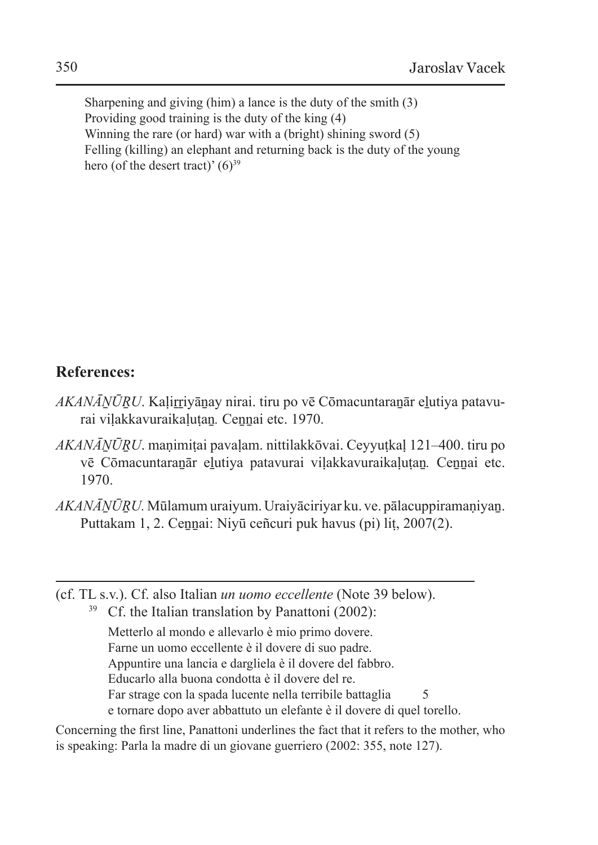Sharpening and giving (him) a lance is the duty of the smith (3) Providing good training is the duty of the king (4) Winning the rare (or hard) war with a (bright) shining sword (5) Felling (killing) an elephant and returning back is the duty of the young hero (of the desert tract)'  $(6)^{39}$ 

## **References:**

- *AKANĀNŪRU*. Kalirriyānay nirai. tiru po vē Cōmacuntaranār elutiya patavurai viḷakkavuraikaḷuṭaṉ*.* Ceṉṉai etc. 1970.
- *AKANĀṈŪṞU*. maṇimiṭai pavaḷam. nittilakkōvai. Ceyyuṭkaḷ 121–400. tiru po vē Cōmacuntaraṉār eḻutiya patavurai viḷakkavuraikaḷuṭaṉ*.* Ceṉṉai etc. 1970.
- *AKANĀṈŪṞU.* Mūlamumuraiyum. Uraiyāciriyar ku. ve. pālacuppiramaṇiyaṉ. Puttakam 1, 2. Cennai: Niyū ceñcuri puk havus (pi) lit, 2007(2).
- (cf. TL s.v.). Cf. also Italian *un uomo eccellente* (Note 39 below).

 $39$  Cf. the Italian translation by Panattoni (2002): Metterlo al mondo e allevarlo è mio primo dovere. Farne un uomo eccellente è il dovere di suo padre. Appuntire una lancia e dargliela è il dovere del fabbro. Educarlo alla buona condotta è il dovere del re. Far strage con la spada lucente nella terribile battaglia 5 e tornare dopo aver abbattuto un elefante è il dovere di quel torello.

Concerning the first line, Panattoni underlines the fact that it refers to the mother, who is speaking: Parla la madre di un giovane guerriero (2002: 355, note 127).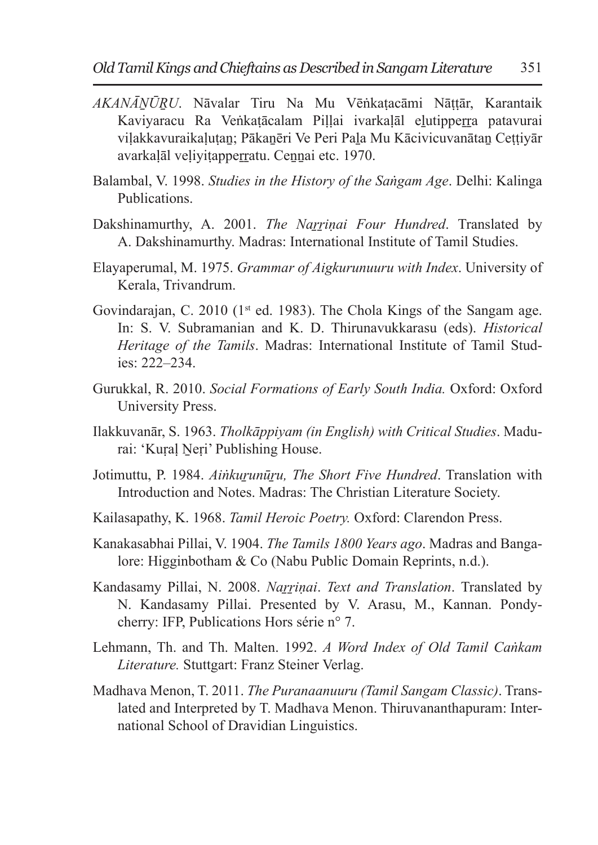- *AKANĀṈŪṞU*. Nāvalar Tiru Na Mu Vēṅkaṭacāmi Nāṭṭār, Karantaik Kaviyaracu Ra Veṅkatācalam Pillai ivarkalāl elutipperra patavurai vilakkavuraikalutan; Pākanēri Ve Peri Pala Mu Kācivicuvanātan Cettiyār avarkalāl veliyitapperratu. Cennai etc. 1970.
- Balambal, V. 1998. *Studies in the History of the Saṅgam Age*. Delhi: Kalinga Publications.
- Dakshinamurthy, A. 2001. *The Narrinai Four Hundred*. Translated by A. Dakshinamurthy. Madras: International Institute of Tamil Studies.
- Elayaperumal, M. 1975. *Grammar of Aigkurunuuru with Index*. University of Kerala, Trivandrum.
- Govindarajan, C. 2010 (1<sup>st</sup> ed. 1983). The Chola Kings of the Sangam age. In: S. V. Subramanian and K. D. Thirunavukkarasu (eds). *Historical Heritage of the Tamils*. Madras: International Institute of Tamil Studies: 222–234.
- Gurukkal, R. 2010. *Social Formations of Early South India.* Oxford: Oxford University Press.
- Ilakkuvanār, S. 1963. *Tholkāppiyam (in English) with Critical Studies*. Madurai: 'Kural Neri' Publishing House.
- Jotimuttu, P. 1984. *Aiṅkuṟunūṟu, The Short Five Hundred*. Translation with Introduction and Notes. Madras: The Christian Literature Society.
- Kailasapathy, K. 1968. *Tamil Heroic Poetry.* Oxford: Clarendon Press.
- Kanakasabhai Pillai, V. 1904. *The Tamils 1800 Years ago*. Madras and Bangalore: Higginbotham & Co (Nabu Public Domain Reprints, n.d.).
- Kandasamy Pillai, N. 2008. *Naṟṟiṇai*. *Text and Translation*. Translated by N. Kandasamy Pillai. Presented by V. Arasu, M., Kannan. Pondycherry: IFP, Publications Hors série n° 7.
- Lehmann, Th. and Th. Malten. 1992. *A Word Index of Old Tamil Caṅkam Literature.* Stuttgart: Franz Steiner Verlag.
- Madhava Menon, T. 2011. *The Puranaanuuru (Tamil Sangam Classic)*. Translated and Interpreted by T. Madhava Menon. Thiruvananthapuram: International School of Dravidian Linguistics.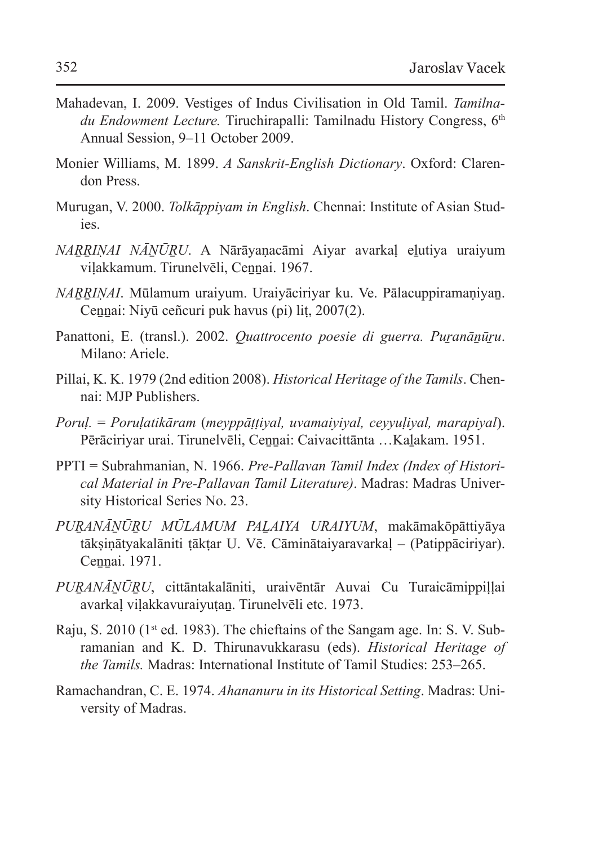- Mahadevan, I. 2009. Vestiges of Indus Civilisation in Old Tamil. *Tamilnadu Endowment Lecture.* Tiruchirapalli: Tamilnadu History Congress, 6<sup>th</sup> Annual Session, 9–11 October 2009.
- Monier Williams, M. 1899. *A Sanskrit-English Dictionary*. Oxford: Clarendon Press.
- Murugan, V. 2000. *Tolkāppiyam in English*. Chennai: Institute of Asian Studies.
- *NAṞṞIṆAI NĀṈŪṞU*. A Nārāyaṇacāmi Aiyar avarkaḷ eḻutiya uraiyum viḷakkamum. Tirunelvēli, Ceṉṉai. 1967.
- *NARRINAI*. Mūlamum uraiyum. Uraiyāciriyar ku. Ve. Pālacuppiramaniyan. Cennai: Niyū ceñcuri puk havus (pi) lit, 2007(2).
- Panattoni, E. (transl.). 2002. *Quattrocento poesie di guerra. Puranānūru*. Milano: Ariele.
- Pillai, K. K. 1979 (2nd edition 2008). *Historical Heritage of the Tamils*. Chennai: MJP Publishers.
- *Poruḷ.* = *Poruḷatikāram* (*meyppāṭṭiyal, uvamaiyiyal, ceyyuḷiyal, marapiyal*). Pērāciriyar urai. Tirunelvēli, Cennai: Caivacittānta ... Kalakam. 1951.
- PPTI = Subrahmanian, N. 1966. *Pre-Pallavan Tamil Index (Index of Historical Material in Pre-Pallavan Tamil Literature)*. Madras: Madras University Historical Series No. 23.
- *PUṞANĀṈŪṞU MŪLAMUM PAḺAIYA URAIYUM*, makāmakōpāttiyāya tākṣiṇātyakalāniti ṭākṭar U. Vē. Cāminātaiyaravarkaḷ – (Patippāciriyar). Cennai. 1971.
- *PUṞANĀṈŪṞU*, cittāntakalāniti, uraivēntār Auvai Cu Turaicāmippiḷḷai avarkaḷ viḷakkavuraiyuṭaṉ. Tirunelvēli etc. 1973.
- Raju, S. 2010 (1st ed. 1983). The chieftains of the Sangam age. In: S. V. Subramanian and K. D. Thirunavukkarasu (eds). *Historical Heritage of the Tamils.* Madras: International Institute of Tamil Studies: 253–265.
- Ramachandran, C. E. 1974. *Ahananuru in its Historical Setting*. Madras: University of Madras.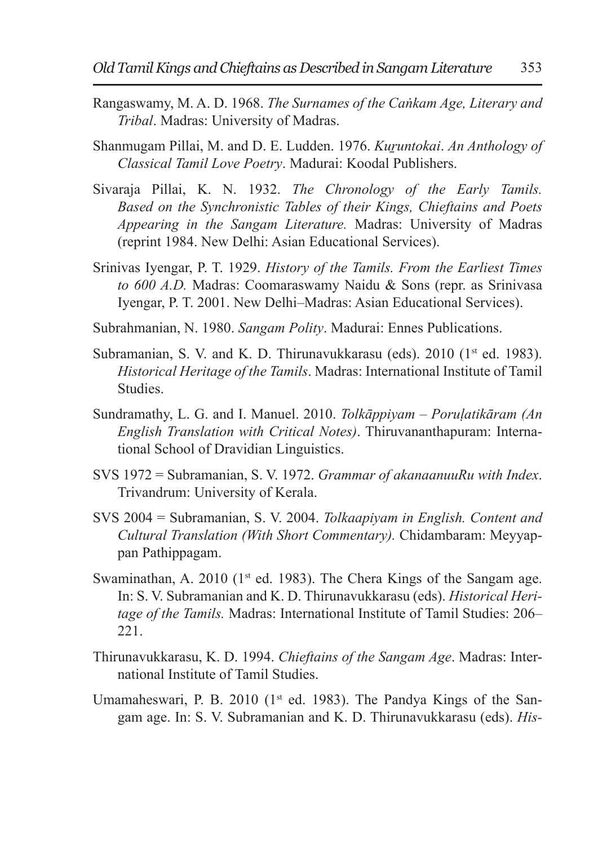- Rangaswamy, M. A. D. 1968. *The Surnames of the Caṅkam Age, Literary and Tribal*. Madras: University of Madras.
- Shanmugam Pillai, M. and D. E. Ludden. 1976. *Kuruntokai. An Anthology of Classical Tamil Love Poetry*. Madurai: Koodal Publishers.
- Sivaraja Pillai, K. N. 1932. *The Chronology of the Early Tamils. Based on the Synchronistic Tables of their Kings, Chieftains and Poets Appearing in the Sangam Literature.* Madras: University of Madras (reprint 1984. New Delhi: Asian Educational Services).
- Srinivas Iyengar, P. T. 1929. *History of the Tamils. From the Earliest Times to 600 A.D.* Madras: Coomaraswamy Naidu & Sons (repr. as Srinivasa Iyengar, P. T. 2001. New Delhi–Madras: Asian Educational Services).
- Subrahmanian, N. 1980. *Sangam Polity*. Madurai: Ennes Publications.
- Subramanian, S. V. and K. D. Thirunavukkarasu (eds). 2010 (1<sup>st</sup> ed. 1983). *Historical Heritage of the Tamils*. Madras: International Institute of Tamil Studies.
- Sundramathy, L. G. and I. Manuel. 2010. *Tolkāppiyam Poruḷatikāram (An English Translation with Critical Notes)*. Thiruvananthapuram: International School of Dravidian Linguistics.
- SVS 1972 = Subramanian, S. V. 1972. *Grammar of akanaanuuRu with Index*. Trivandrum: University of Kerala.
- SVS 2004 = Subramanian, S. V. 2004. *Tolkaapiyam in English. Content and Cultural Translation (With Short Commentary).* Chidambaram: Meyyappan Pathippagam.
- Swaminathan, A. 2010 ( $1<sup>st</sup>$  ed. 1983). The Chera Kings of the Sangam age. In: S. V. Subramanian and K. D. Thirunavukkarasu (eds). *Historical Heritage of the Tamils.* Madras: International Institute of Tamil Studies: 206– 221.
- Thirunavukkarasu, K. D. 1994. *Chieftains of the Sangam Age*. Madras: International Institute of Tamil Studies.
- Umamaheswari, P. B. 2010 ( $1<sup>st</sup>$  ed. 1983). The Pandya Kings of the Sangam age. In: S. V. Subramanian and K. D. Thirunavukkarasu (eds). *His-*